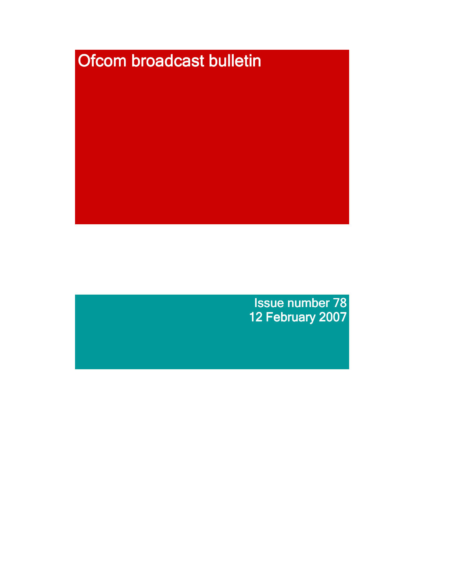

Issue number 78 12 February 2007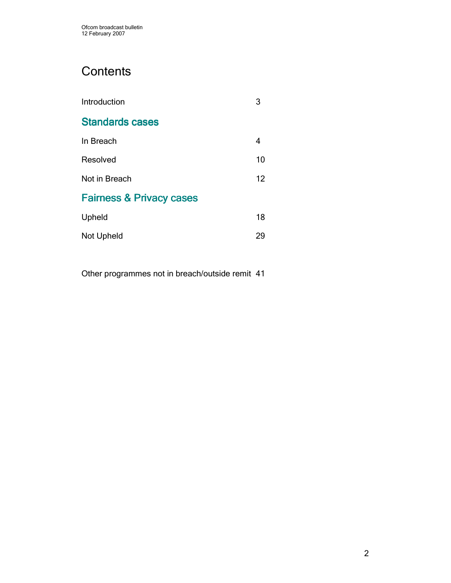# **Contents**

| Introduction                        | 3               |
|-------------------------------------|-----------------|
| <b>Standards cases</b>              |                 |
| In Breach                           | 4               |
| Resolved                            | 10              |
| Not in Breach                       | 12 <sup>2</sup> |
| <b>Fairness &amp; Privacy cases</b> |                 |
| Upheld                              | 18              |
| <b>Not Upheld</b>                   | 29              |

Other programmes not in breach/outside remit 41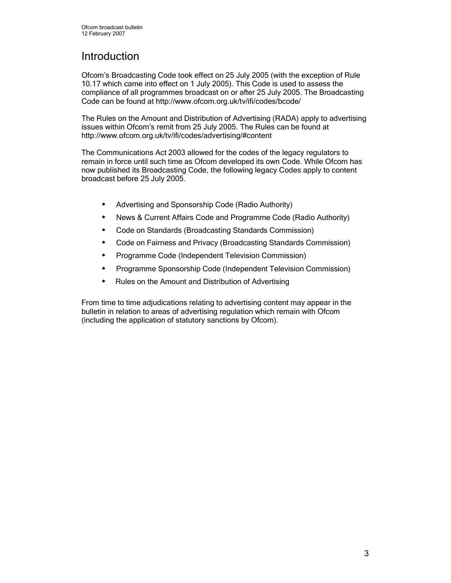# Introduction

Ofcom's Broadcasting Code took effect on 25 July 2005 (with the exception of Rule 10.17 which came into effect on 1 July 2005). This Code is used to assess the compliance of all programmes broadcast on or after 25 July 2005. The Broadcasting Code can be found at http://www.ofcom.org.uk/tv/ifi/codes/bcode/

The Rules on the Amount and Distribution of Advertising (RADA) apply to advertising issues within Ofcom's remit from 25 July 2005. The Rules can be found at http://www.ofcom.org.uk/tv/ifi/codes/advertising/#content

The Communications Act 2003 allowed for the codes of the legacy regulators to remain in force until such time as Ofcom developed its own Code. While Ofcom has now published its Broadcasting Code, the following legacy Codes apply to content broadcast before 25 July 2005.

- **Advertising and Sponsorship Code (Radio Authority)**
- News & Current Affairs Code and Programme Code (Radio Authority)
- Code on Standards (Broadcasting Standards Commission)
- Code on Fairness and Privacy (Broadcasting Standards Commission)
- **\*** Programme Code (Independent Television Commission)
- Programme Sponsorship Code (Independent Television Commission)
- **\*** Rules on the Amount and Distribution of Advertising

From time to time adjudications relating to advertising content may appear in the bulletin in relation to areas of advertising regulation which remain with Ofcom (including the application of statutory sanctions by Ofcom).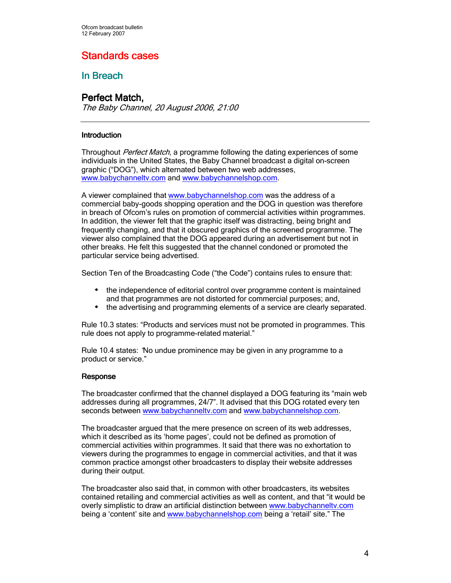# Standards cases

# In Breach

# Perfect Match.

The Baby Channel, 20 August 2006, 21:00

## **Introduction**

Throughout *Perfect Match*, a programme following the dating experiences of some individuals in the United States, the Baby Channel broadcast a digital on-screen graphic ("DOG"), which alternated between two web addresses, www.babychanneltv.com and www.babychannelshop.com.

A viewer complained that www.babychannelshop.com was the address of a commercial baby-goods shopping operation and the DOG in question was therefore in breach of Ofcom's rules on promotion of commercial activities within programmes. In addition, the viewer felt that the graphic itself was distracting, being bright and frequently changing, and that it obscured graphics of the screened programme. The viewer also complained that the DOG appeared during an advertisement but not in other breaks. He felt this suggested that the channel condoned or promoted the particular service being advertised.

Section Ten of the Broadcasting Code ("the Code") contains rules to ensure that:

- the independence of editorial control over programme content is maintained and that programmes are not distorted for commercial purposes; and,
- **the advertising and programming elements of a service are clearly separated.**

Rule 10.3 states: "Products and services must not be promoted in programmes. This rule does not apply to programme-related material."

Rule 10.4 states: "No undue prominence may be given in any programme to a product or service."

## Response

The broadcaster confirmed that the channel displayed a DOG featuring its "main web addresses during all programmes, 24/7". It advised that this DOG rotated every ten seconds between www.babychanneltv.com and www.babychannelshop.com.

The broadcaster argued that the mere presence on screen of its web addresses, which it described as its 'home pages', could not be defined as promotion of commercial activities within programmes. It said that there was no exhortation to viewers during the programmes to engage in commercial activities, and that it was common practice amongst other broadcasters to display their website addresses during their output.

The broadcaster also said that, in common with other broadcasters, its websites contained retailing and commercial activities as well as content, and that "it would be overly simplistic to draw an artificial distinction between www.babychanneltv.com being a 'content' site and www.babychannelshop.com being a 'retail' site." The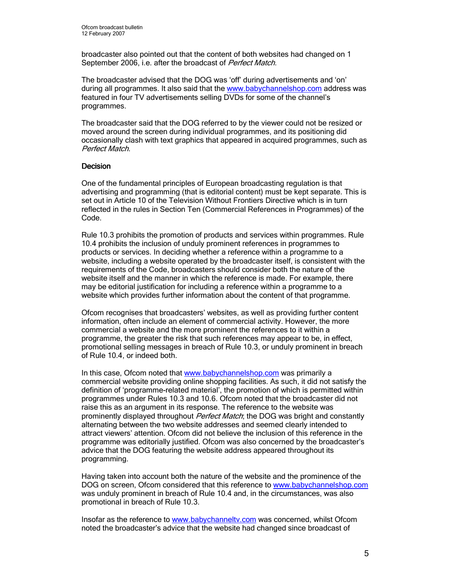broadcaster also pointed out that the content of both websites had changed on 1 September 2006, i.e. after the broadcast of Perfect Match.

The broadcaster advised that the DOG was 'off' during advertisements and 'on' during all programmes. It also said that the www.babychannelshop.com address was featured in four TV advertisements selling DVDs for some of the channel's programmes.

The broadcaster said that the DOG referred to by the viewer could not be resized or moved around the screen during individual programmes, and its positioning did occasionally clash with text graphics that appeared in acquired programmes, such as Perfect Match.

#### **Decision**

One of the fundamental principles of European broadcasting regulation is that advertising and programming (that is editorial content) must be kept separate. This is set out in Article 10 of the Television Without Frontiers Directive which is in turn reflected in the rules in Section Ten (Commercial References in Programmes) of the Code.

Rule 10.3 prohibits the promotion of products and services within programmes. Rule 10.4 prohibits the inclusion of unduly prominent references in programmes to products or services. In deciding whether a reference within a programme to a website, including a website operated by the broadcaster itself, is consistent with the requirements of the Code, broadcasters should consider both the nature of the website itself and the manner in which the reference is made. For example, there may be editorial justification for including a reference within a programme to a website which provides further information about the content of that programme.

Ofcom recognises that broadcasters' websites, as well as providing further content information, often include an element of commercial activity. However, the more commercial a website and the more prominent the references to it within a programme, the greater the risk that such references may appear to be, in effect, promotional selling messages in breach of Rule 10.3, or unduly prominent in breach of Rule 10.4, or indeed both.

In this case, Ofcom noted that www.babychannelshop.com was primarily a commercial website providing online shopping facilities. As such, it did not satisfy the definition of 'programme-related material', the promotion of which is permitted within programmes under Rules 10.3 and 10.6. Ofcom noted that the broadcaster did not raise this as an argument in its response. The reference to the website was prominently displayed throughout *Perfect Match*; the DOG was bright and constantly alternating between the two website addresses and seemed clearly intended to attract viewers' attention. Ofcom did not believe the inclusion of this reference in the programme was editorially justified. Ofcom was also concerned by the broadcaster's advice that the DOG featuring the website address appeared throughout its programming.

Having taken into account both the nature of the website and the prominence of the DOG on screen, Ofcom considered that this reference to www.babychannelshop.com was unduly prominent in breach of Rule 10.4 and, in the circumstances, was also promotional in breach of Rule 10.3.

Insofar as the reference to www.babychanneltv.com was concerned, whilst Ofcom noted the broadcaster's advice that the website had changed since broadcast of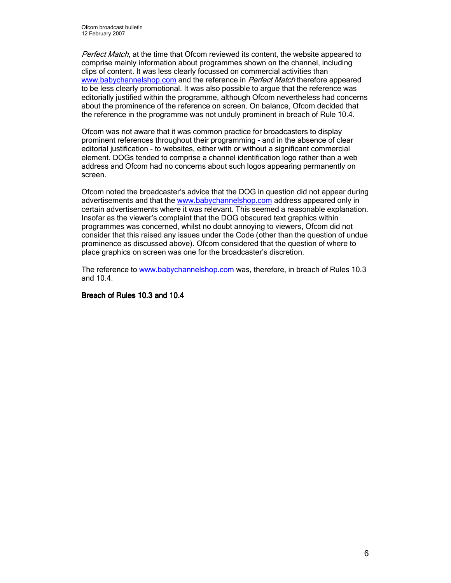Perfect Match, at the time that Ofcom reviewed its content, the website appeared to comprise mainly information about programmes shown on the channel, including clips of content. It was less clearly focussed on commercial activities than www.babychannelshop.com and the reference in *Perfect Match* therefore appeared to be less clearly promotional. It was also possible to argue that the reference was editorially justified within the programme, although Ofcom nevertheless had concerns about the prominence of the reference on screen. On balance, Ofcom decided that the reference in the programme was not unduly prominent in breach of Rule 10.4.

Ofcom was not aware that it was common practice for broadcasters to display prominent references throughout their programming - and in the absence of clear editorial justification - to websites, either with or without a significant commercial element. DOGs tended to comprise a channel identification logo rather than a web address and Ofcom had no concerns about such logos appearing permanently on screen.

Ofcom noted the broadcaster's advice that the DOG in question did not appear during advertisements and that the www.babychannelshop.com address appeared only in certain advertisements where it was relevant. This seemed a reasonable explanation. Insofar as the viewer's complaint that the DOG obscured text graphics within programmes was concerned, whilst no doubt annoying to viewers, Ofcom did not consider that this raised any issues under the Code (other than the question of undue prominence as discussed above). Ofcom considered that the question of where to place graphics on screen was one for the broadcaster's discretion.

The reference to www.babychannelshop.com was, therefore, in breach of Rules 10.3 and 10.4.

#### Breach of Rules 10.3 and 10.4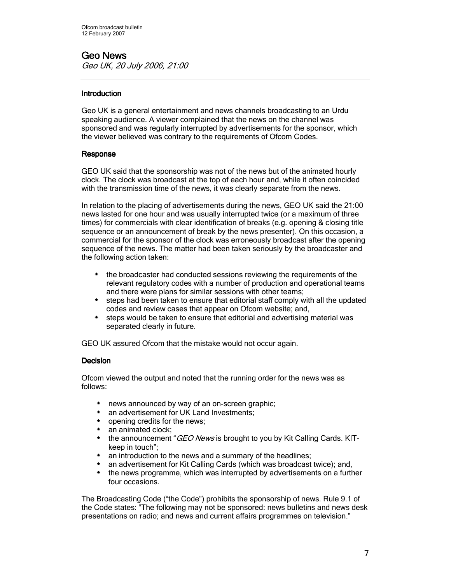# Geo News

Geo UK, 20 July 2006, 21:00

## Introduction

Geo UK is a general entertainment and news channels broadcasting to an Urdu speaking audience. A viewer complained that the news on the channel was sponsored and was regularly interrupted by advertisements for the sponsor, which the viewer believed was contrary to the requirements of Ofcom Codes.

## Response

GEO UK said that the sponsorship was not of the news but of the animated hourly clock. The clock was broadcast at the top of each hour and, while it often coincided with the transmission time of the news, it was clearly separate from the news.

In relation to the placing of advertisements during the news, GEO UK said the 21:00 news lasted for one hour and was usually interrupted twice (or a maximum of three times) for commercials with clear identification of breaks (e.g. opening & closing title sequence or an announcement of break by the news presenter). On this occasion, a commercial for the sponsor of the clock was erroneously broadcast after the opening sequence of the news. The matter had been taken seriously by the broadcaster and the following action taken:

- the broadcaster had conducted sessions reviewing the requirements of the relevant regulatory codes with a number of production and operational teams and there were plans for similar sessions with other teams;
- steps had been taken to ensure that editorial staff comply with all the updated codes and review cases that appear on Ofcom website; and,
- steps would be taken to ensure that editorial and advertising material was separated clearly in future.

GEO UK assured Ofcom that the mistake would not occur again.

## Decision

Ofcom viewed the output and noted that the running order for the news was as follows:

- news announced by way of an on-screen graphic;
- an advertisement for UK Land Investments;
- opening credits for the news;
- an animated clock;
- $\bullet$  the announcement "GEO News is brought to you by Kit Calling Cards. KITkeep in touch";
- an introduction to the news and a summary of the headlines;
- an advertisement for Kit Calling Cards (which was broadcast twice); and,
- the news programme, which was interrupted by advertisements on a further four occasions.

The Broadcasting Code ("the Code") prohibits the sponsorship of news. Rule 9.1 of the Code states: "The following may not be sponsored: news bulletins and news desk presentations on radio; and news and current affairs programmes on television."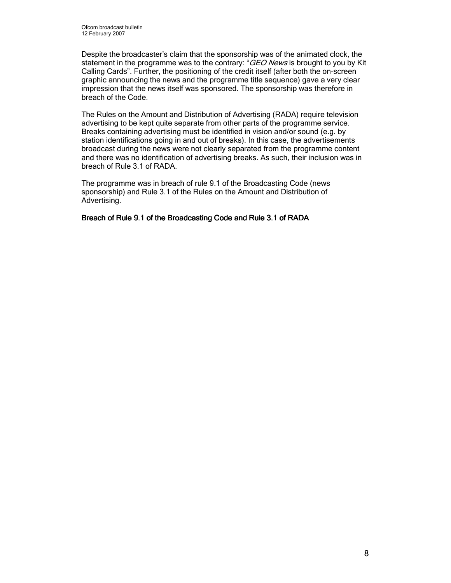Despite the broadcaster's claim that the sponsorship was of the animated clock, the statement in the programme was to the contrary: "GEO News is brought to you by Kit Calling Cards". Further, the positioning of the credit itself (after both the on-screen graphic announcing the news and the programme title sequence) gave a very clear impression that the news itself was sponsored. The sponsorship was therefore in breach of the Code.

The Rules on the Amount and Distribution of Advertising (RADA) require television advertising to be kept quite separate from other parts of the programme service. Breaks containing advertising must be identified in vision and/or sound (e.g. by station identifications going in and out of breaks). In this case, the advertisements broadcast during the news were not clearly separated from the programme content and there was no identification of advertising breaks. As such, their inclusion was in breach of Rule 3.1 of RADA.

The programme was in breach of rule 9.1 of the Broadcasting Code (news sponsorship) and Rule 3.1 of the Rules on the Amount and Distribution of Advertising.

# Breach of Rule 9.1 of the Broadcasting Code and Rule 3.1 of RADA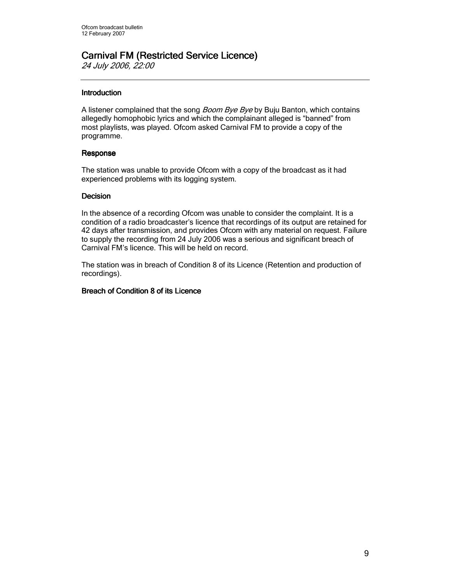# Carnival FM (Restricted Service Licence)

24 July 2006, 22:00

## Introduction

A listener complained that the song *Boom Bye Bye* by Buju Banton, which contains allegedly homophobic lyrics and which the complainant alleged is "banned" from most playlists, was played. Ofcom asked Carnival FM to provide a copy of the programme.

## Response

The station was unable to provide Ofcom with a copy of the broadcast as it had experienced problems with its logging system.

## **Decision**

In the absence of a recording Ofcom was unable to consider the complaint. It is a condition of a radio broadcaster's licence that recordings of its output are retained for 42 days after transmission, and provides Ofcom with any material on request. Failure to supply the recording from 24 July 2006 was a serious and significant breach of Carnival FM's licence. This will be held on record.

The station was in breach of Condition 8 of its Licence (Retention and production of recordings).

## Breach of Condition 8 of its Licence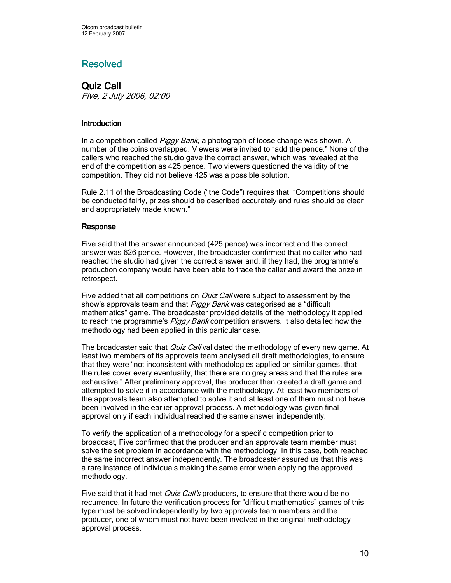# **Resolved**

Quiz Call Five, 2 July 2006, 02:00

#### **Introduction**

In a competition called *Piggy Bank*, a photograph of loose change was shown. A number of the coins overlapped. Viewers were invited to "add the pence." None of the callers who reached the studio gave the correct answer, which was revealed at the end of the competition as 425 pence. Two viewers questioned the validity of the competition. They did not believe 425 was a possible solution.

Rule 2.11 of the Broadcasting Code ("the Code") requires that: "Competitions should be conducted fairly, prizes should be described accurately and rules should be clear and appropriately made known."

#### Response

Five said that the answer announced (425 pence) was incorrect and the correct answer was 626 pence. However, the broadcaster confirmed that no caller who had reached the studio had given the correct answer and, if they had, the programme's production company would have been able to trace the caller and award the prize in retrospect.

Five added that all competitions on *Quiz Call* were subject to assessment by the show's approvals team and that *Piggy Bank* was categorised as a "difficult mathematics" game. The broadcaster provided details of the methodology it applied to reach the programme's *Piggy Bank* competition answers. It also detailed how the methodology had been applied in this particular case.

The broadcaster said that *Quiz Call* validated the methodology of every new game. At least two members of its approvals team analysed all draft methodologies, to ensure that they were "not inconsistent with methodologies applied on similar games, that the rules cover every eventuality, that there are no grey areas and that the rules are exhaustive." After preliminary approval, the producer then created a draft game and attempted to solve it in accordance with the methodology. At least two members of the approvals team also attempted to solve it and at least one of them must not have been involved in the earlier approval process. A methodology was given final approval only if each individual reached the same answer independently.

To verify the application of a methodology for a specific competition prior to broadcast, Five confirmed that the producer and an approvals team member must solve the set problem in accordance with the methodology. In this case, both reached the same incorrect answer independently. The broadcaster assured us that this was a rare instance of individuals making the same error when applying the approved methodology.

Five said that it had met *Quiz Call's* producers, to ensure that there would be no recurrence. In future the verification process for "difficult mathematics" games of this type must be solved independently by two approvals team members and the producer, one of whom must not have been involved in the original methodology approval process.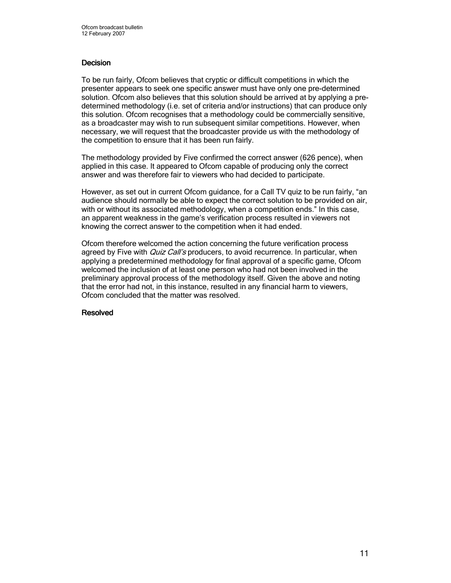#### **Decision**

To be run fairly, Ofcom believes that cryptic or difficult competitions in which the presenter appears to seek one specific answer must have only one pre-determined solution. Ofcom also believes that this solution should be arrived at by applying a predetermined methodology (i.e. set of criteria and/or instructions) that can produce only this solution. Ofcom recognises that a methodology could be commercially sensitive, as a broadcaster may wish to run subsequent similar competitions. However, when necessary, we will request that the broadcaster provide us with the methodology of the competition to ensure that it has been run fairly.

The methodology provided by Five confirmed the correct answer (626 pence), when applied in this case. It appeared to Ofcom capable of producing only the correct answer and was therefore fair to viewers who had decided to participate.

However, as set out in current Ofcom guidance, for a Call TV quiz to be run fairly, "an audience should normally be able to expect the correct solution to be provided on air, with or without its associated methodology, when a competition ends." In this case, an apparent weakness in the game's verification process resulted in viewers not knowing the correct answer to the competition when it had ended.

Ofcom therefore welcomed the action concerning the future verification process agreed by Five with *Quiz Call's* producers, to avoid recurrence. In particular, when applying a predetermined methodology for final approval of a specific game, Ofcom welcomed the inclusion of at least one person who had not been involved in the preliminary approval process of the methodology itself. Given the above and noting that the error had not, in this instance, resulted in any financial harm to viewers, Ofcom concluded that the matter was resolved.

#### Resolved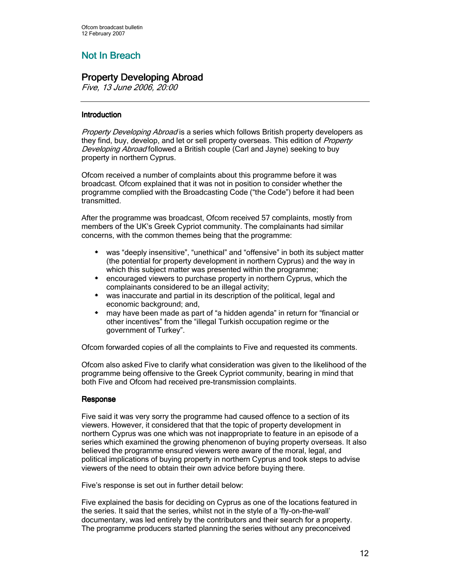# **Not In Breach**

# Property Developing Abroad

Five, 13 June 2006, 20:00

## Introduction

Property Developing Abroad is a series which follows British property developers as they find, buy, develop, and let or sell property overseas. This edition of *Property* Developing Abroad followed a British couple (Carl and Jayne) seeking to buy property in northern Cyprus.

Ofcom received a number of complaints about this programme before it was broadcast. Ofcom explained that it was not in position to consider whether the programme complied with the Broadcasting Code ("the Code") before it had been transmitted.

After the programme was broadcast, Ofcom received 57 complaints, mostly from members of the UK's Greek Cypriot community. The complainants had similar concerns, with the common themes being that the programme:

- was "deeply insensitive", "unethical" and "offensive" in both its subject matter (the potential for property development in northern Cyprus) and the way in which this subject matter was presented within the programme;
- encouraged viewers to purchase property in northern Cyprus, which the complainants considered to be an illegal activity;
- was inaccurate and partial in its description of the political, legal and economic background; and,
- may have been made as part of "a hidden agenda" in return for "financial or other incentives" from the "illegal Turkish occupation regime or the government of Turkey".

Ofcom forwarded copies of all the complaints to Five and requested its comments.

Ofcom also asked Five to clarify what consideration was given to the likelihood of the programme being offensive to the Greek Cypriot community, bearing in mind that both Five and Ofcom had received pre-transmission complaints.

## Response

Five said it was very sorry the programme had caused offence to a section of its viewers. However, it considered that that the topic of property development in northern Cyprus was one which was not inappropriate to feature in an episode of a series which examined the growing phenomenon of buying property overseas. It also believed the programme ensured viewers were aware of the moral, legal, and political implications of buying property in northern Cyprus and took steps to advise viewers of the need to obtain their own advice before buying there.

Five's response is set out in further detail below:

Five explained the basis for deciding on Cyprus as one of the locations featured in the series. It said that the series, whilst not in the style of a 'fly-on-the-wall' documentary, was led entirely by the contributors and their search for a property. The programme producers started planning the series without any preconceived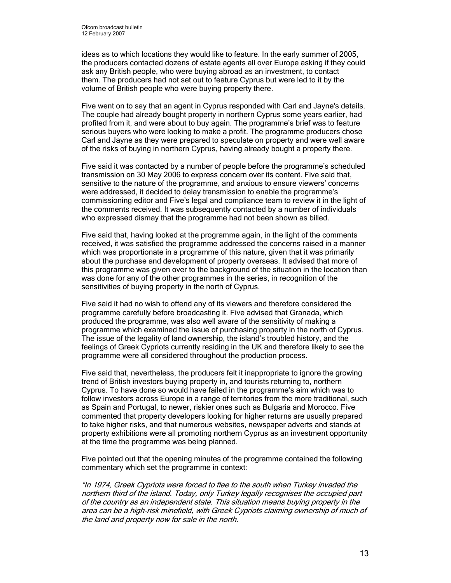ideas as to which locations they would like to feature. In the early summer of 2005, the producers contacted dozens of estate agents all over Europe asking if they could ask any British people, who were buying abroad as an investment, to contact them. The producers had not set out to feature Cyprus but were led to it by the volume of British people who were buying property there.

Five went on to say that an agent in Cyprus responded with Carl and Jayne's details. The couple had already bought property in northern Cyprus some years earlier, had profited from it, and were about to buy again. The programme's brief was to feature serious buyers who were looking to make a profit. The programme producers chose Carl and Jayne as they were prepared to speculate on property and were well aware of the risks of buying in northern Cyprus, having already bought a property there.

Five said it was contacted by a number of people before the programme's scheduled transmission on 30 May 2006 to express concern over its content. Five said that, sensitive to the nature of the programme, and anxious to ensure viewers' concerns were addressed, it decided to delay transmission to enable the programme's commissioning editor and Five's legal and compliance team to review it in the light of the comments received. It was subsequently contacted by a number of individuals who expressed dismay that the programme had not been shown as billed.

Five said that, having looked at the programme again, in the light of the comments received, it was satisfied the programme addressed the concerns raised in a manner which was proportionate in a programme of this nature, given that it was primarily about the purchase and development of property overseas. It advised that more of this programme was given over to the background of the situation in the location than was done for any of the other programmes in the series, in recognition of the sensitivities of buying property in the north of Cyprus.

Five said it had no wish to offend any of its viewers and therefore considered the programme carefully before broadcasting it. Five advised that Granada, which produced the programme, was also well aware of the sensitivity of making a programme which examined the issue of purchasing property in the north of Cyprus. The issue of the legality of land ownership, the island's troubled history, and the feelings of Greek Cypriots currently residing in the UK and therefore likely to see the programme were all considered throughout the production process.

Five said that, nevertheless, the producers felt it inappropriate to ignore the growing trend of British investors buying property in, and tourists returning to, northern Cyprus. To have done so would have failed in the programme's aim which was to follow investors across Europe in a range of territories from the more traditional, such as Spain and Portugal, to newer, riskier ones such as Bulgaria and Morocco. Five commented that property developers looking for higher returns are usually prepared to take higher risks, and that numerous websites, newspaper adverts and stands at property exhibitions were all promoting northern Cyprus as an investment opportunity at the time the programme was being planned.

Five pointed out that the opening minutes of the programme contained the following commentary which set the programme in context:

"In 1974, Greek Cypriots were forced to flee to the south when Turkey invaded the northern third of the island. Today, only Turkey legally recognises the occupied part of the country as an independent state. This situation means buying property in the area can be a high-risk minefield, with Greek Cypriots claiming ownership of much of the land and property now for sale in the north.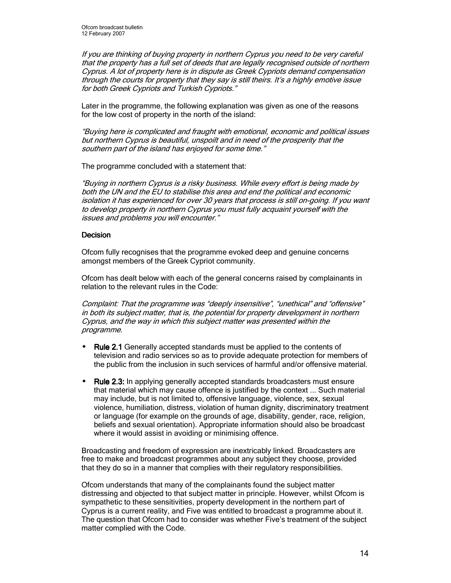If you are thinking of buying property in northern Cyprus you need to be very careful that the property has a full set of deeds that are legally recognised outside of northern Cyprus. A lot of property here is in dispute as Greek Cypriots demand compensation through the courts for property that they say is still theirs. It's a highly emotive issue for both Greek Cypriots and Turkish Cypriots."

Later in the programme, the following explanation was given as one of the reasons for the low cost of property in the north of the island:

"Buying here is complicated and fraught with emotional, economic and political issues but northern Cyprus is beautiful, unspoilt and in need of the prosperity that the southern part of the island has enjoyed for some time."

The programme concluded with a statement that:

"Buying in northern Cyprus is a risky business. While every effort is being made by both the UN and the EU to stabilise this area and end the political and economic isolation it has experienced for over 30 years that process is still on-going. If you want to develop property in northern Cyprus you must fully acquaint yourself with the issues and problems you will encounter."

#### Decision

Ofcom fully recognises that the programme evoked deep and genuine concerns amongst members of the Greek Cypriot community.

Ofcom has dealt below with each of the general concerns raised by complainants in relation to the relevant rules in the Code:

Complaint: That the programme was "deeply insensitive", "unethical" and "offensive" in both its subject matter, that is, the potential for property development in northern Cyprus, and the way in which this subject matter was presented within the programme.

- \* Rule 2.1 Generally accepted standards must be applied to the contents of television and radio services so as to provide adequate protection for members of the public from the inclusion in such services of harmful and/or offensive material.
- Rule 2.3: In applying generally accepted standards broadcasters must ensure that material which may cause offence is justified by the context ... Such material may include, but is not limited to, offensive language, violence, sex, sexual violence, humiliation, distress, violation of human dignity, discriminatory treatment or language (for example on the grounds of age, disability, gender, race, religion, beliefs and sexual orientation). Appropriate information should also be broadcast where it would assist in avoiding or minimising offence.

Broadcasting and freedom of expression are inextricably linked. Broadcasters are free to make and broadcast programmes about any subject they choose, provided that they do so in a manner that complies with their regulatory responsibilities.

Ofcom understands that many of the complainants found the subject matter distressing and objected to that subject matter in principle. However, whilst Ofcom is sympathetic to these sensitivities, property development in the northern part of Cyprus is a current reality, and Five was entitled to broadcast a programme about it. The question that Ofcom had to consider was whether Five's treatment of the subject matter complied with the Code.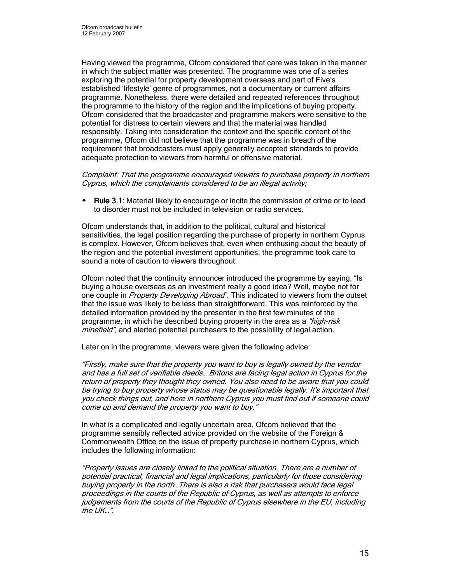Having viewed the programme, Ofcom considered that care was taken in the manner in which the subject matter was presented. The programme was one of a series exploring the potential for property development overseas and part of Five's established 'lifestyle' genre of programmes, not a documentary or current affairs programme. Nonetheless, there were detailed and repeated references throughout the programme to the history of the region and the implications of buying property. Ofcom considered that the broadcaster and programme makers were sensitive to the potential for distress to certain viewers and that the material was handled responsibly. Taking into consideration the context and the specific content of the programme, Ofcom did not believe that the programme was in breach of the requirement that broadcasters must apply generally accepted standards to provide adequate protection to viewers from harmful or offensive material.

Complaint: That the programme encouraged viewers to purchase property in northern Cyprus, which the complainants considered to be an illegal activity;

Rule 3.1: Material likely to encourage or incite the commission of crime or to lead to disorder must not be included in television or radio services.

Ofcom understands that, in addition to the political, cultural and historical sensitivities, the legal position regarding the purchase of property in northern Cyprus is complex. However, Ofcom believes that, even when enthusing about the beauty of the region and the potential investment opportunities, the programme took care to sound a note of caution to viewers throughout.

Ofcom noted that the continuity announcer introduced the programme by saying, "Is buying a house overseas as an investment really a good idea? Well, maybe not for one couple in Property Developing Abroad". This indicated to viewers from the outset that the issue was likely to be less than straightforward. This was reinforced by the detailed information provided by the presenter in the first few minutes of the programme, in which he described buying property in the area as a "high-risk" minefield", and alerted potential purchasers to the possibility of legal action.

Later on in the programme, viewers were given the following advice:

"Firstly, make sure that the property you want to buy is legally owned by the vendor and has a full set of verifiable deeds… Britons are facing legal action in Cyprus for the return of property they thought they owned. You also need to be aware that you could be trying to buy property whose status may be questionable legally. It's important that you check things out, and here in northern Cyprus you must find out if someone could come up and demand the property you want to buy."

In what is a complicated and legally uncertain area, Ofcom believed that the programme sensibly reflected advice provided on the website of the Foreign & Commonwealth Office on the issue of property purchase in northern Cyprus, which includes the following information:

"Property issues are closely linked to the political situation. There are a number of potential practical, financial and legal implications, particularly for those considering buying property in the north…There is also a risk that purchasers would face legal proceedings in the courts of the Republic of Cyprus, as well as attempts to enforce judgements from the courts of the Republic of Cyprus elsewhere in the EU, including the UK…".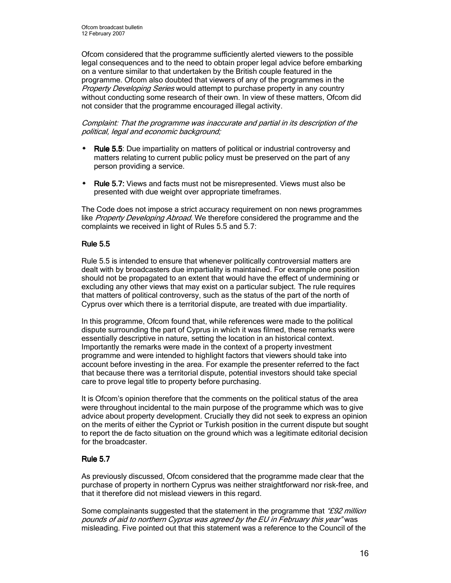Ofcom considered that the programme sufficiently alerted viewers to the possible legal consequences and to the need to obtain proper legal advice before embarking on a venture similar to that undertaken by the British couple featured in the programme. Ofcom also doubted that viewers of any of the programmes in the Property Developing Series would attempt to purchase property in any country without conducting some research of their own. In view of these matters, Ofcom did not consider that the programme encouraged illegal activity.

Complaint: That the programme was inaccurate and partial in its description of the political, legal and economic background;

- Rule 5.5: Due impartiality on matters of political or industrial controversy and matters relating to current public policy must be preserved on the part of any person providing a service.
- \* Rule 5.7: Views and facts must not be misrepresented. Views must also be presented with due weight over appropriate timeframes.

The Code does not impose a strict accuracy requirement on non news programmes like Property Developing Abroad. We therefore considered the programme and the complaints we received in light of Rules 5.5 and 5.7:

# Rule 5.5

Rule 5.5 is intended to ensure that whenever politically controversial matters are dealt with by broadcasters due impartiality is maintained. For example one position should not be propagated to an extent that would have the effect of undermining or excluding any other views that may exist on a particular subject. The rule requires that matters of political controversy, such as the status of the part of the north of Cyprus over which there is a territorial dispute, are treated with due impartiality.

In this programme, Ofcom found that, while references were made to the political dispute surrounding the part of Cyprus in which it was filmed, these remarks were essentially descriptive in nature, setting the location in an historical context. Importantly the remarks were made in the context of a property investment programme and were intended to highlight factors that viewers should take into account before investing in the area. For example the presenter referred to the fact that because there was a territorial dispute, potential investors should take special care to prove legal title to property before purchasing.

It is Ofcom's opinion therefore that the comments on the political status of the area were throughout incidental to the main purpose of the programme which was to give advice about property development. Crucially they did not seek to express an opinion on the merits of either the Cypriot or Turkish position in the current dispute but sought to report the de facto situation on the ground which was a legitimate editorial decision for the broadcaster.

# $Rule 5.7$

As previously discussed, Ofcom considered that the programme made clear that the purchase of property in northern Cyprus was neither straightforward nor risk-free, and that it therefore did not mislead viewers in this regard.

Some complainants suggested that the statement in the programme that *"£92 million*" pounds of aid to northern Cyprus was agreed by the EU in February this year" was misleading. Five pointed out that this statement was a reference to the Council of the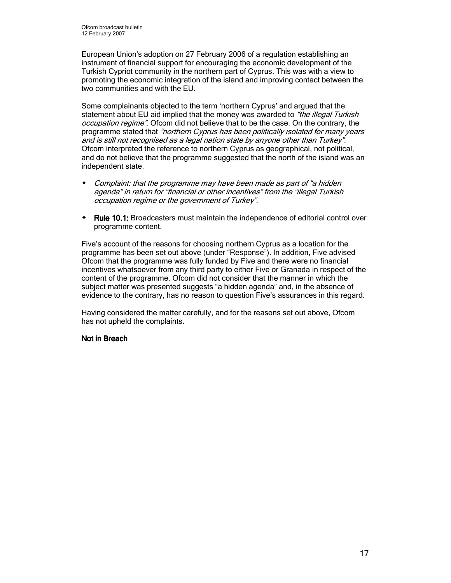European Union's adoption on 27 February 2006 of a regulation establishing an instrument of financial support for encouraging the economic development of the Turkish Cypriot community in the northern part of Cyprus. This was with a view to promoting the economic integration of the island and improving contact between the two communities and with the EU.

Some complainants objected to the term 'northern Cyprus' and argued that the statement about EU aid implied that the money was awarded to *"the illegal Turkish*" occupation regime". Ofcom did not believe that to be the case. On the contrary, the programme stated that "*northern Cyprus has been politically isolated for many years* and is still not recognised as a legal nation state by anyone other than Turkey". Ofcom interpreted the reference to northern Cyprus as geographical, not political, and do not believe that the programme suggested that the north of the island was an independent state.

- Complaint: that the programme may have been made as part of "a hidden agenda" in return for "financial or other incentives" from the "illegal Turkish occupation regime or the government of Turkey".
- \* Rule 10.1: Broadcasters must maintain the independence of editorial control over programme content.

Five's account of the reasons for choosing northern Cyprus as a location for the programme has been set out above (under "Response"). In addition, Five advised Ofcom that the programme was fully funded by Five and there were no financial incentives whatsoever from any third party to either Five or Granada in respect of the content of the programme. Ofcom did not consider that the manner in which the subject matter was presented suggests "a hidden agenda" and, in the absence of evidence to the contrary, has no reason to question Five's assurances in this regard.

Having considered the matter carefully, and for the reasons set out above, Ofcom has not upheld the complaints.

## Not in Breach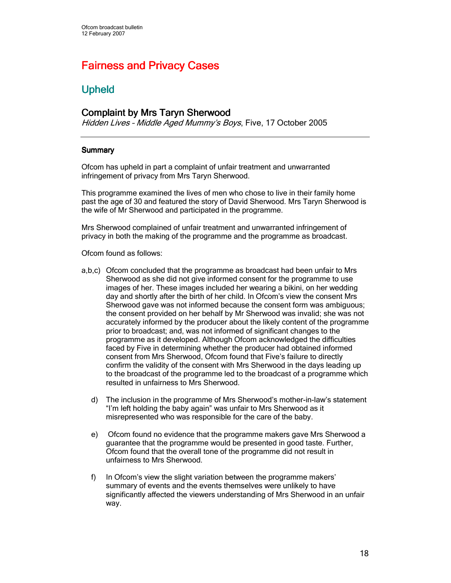# **Fairness and Privacy Cases**

# Upheld

# Complaint by Mrs Taryn Sherwood

Hidden Lives – Middle Aged Mummy's Boys, Five, 17 October 2005

## **Summary**

Ofcom has upheld in part a complaint of unfair treatment and unwarranted infringement of privacy from Mrs Taryn Sherwood.

This programme examined the lives of men who chose to live in their family home past the age of 30 and featured the story of David Sherwood. Mrs Taryn Sherwood is the wife of Mr Sherwood and participated in the programme.

Mrs Sherwood complained of unfair treatment and unwarranted infringement of privacy in both the making of the programme and the programme as broadcast.

Ofcom found as follows:

- a,b,c) Ofcom concluded that the programme as broadcast had been unfair to Mrs Sherwood as she did not give informed consent for the programme to use images of her. These images included her wearing a bikini, on her wedding day and shortly after the birth of her child. In Ofcom's view the consent Mrs Sherwood gave was not informed because the consent form was ambiguous; the consent provided on her behalf by Mr Sherwood was invalid; she was not accurately informed by the producer about the likely content of the programme prior to broadcast; and, was not informed of significant changes to the programme as it developed. Although Ofcom acknowledged the difficulties faced by Five in determining whether the producer had obtained informed consent from Mrs Sherwood, Ofcom found that Five's failure to directly confirm the validity of the consent with Mrs Sherwood in the days leading up to the broadcast of the programme led to the broadcast of a programme which resulted in unfairness to Mrs Sherwood.
	- d) The inclusion in the programme of Mrs Sherwood's mother-in-law's statement "I'm left holding the baby again" was unfair to Mrs Sherwood as it misrepresented who was responsible for the care of the baby.
	- e) Ofcom found no evidence that the programme makers gave Mrs Sherwood a guarantee that the programme would be presented in good taste. Further, Ofcom found that the overall tone of the programme did not result in unfairness to Mrs Sherwood.
	- f) In Ofcom's view the slight variation between the programme makers' summary of events and the events themselves were unlikely to have significantly affected the viewers understanding of Mrs Sherwood in an unfair way.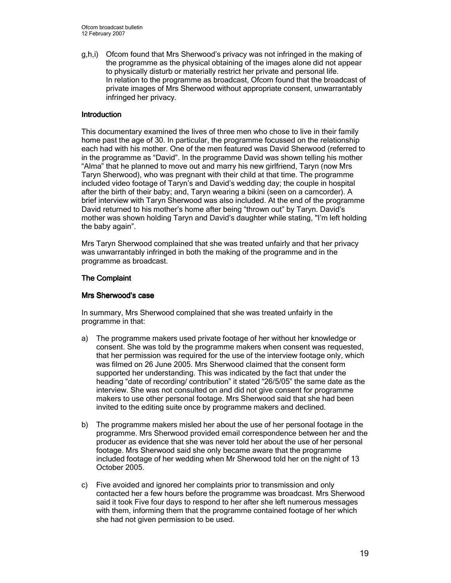g,h,i) Ofcom found that Mrs Sherwood's privacy was not infringed in the making of the programme as the physical obtaining of the images alone did not appear to physically disturb or materially restrict her private and personal life. In relation to the programme as broadcast, Ofcom found that the broadcast of private images of Mrs Sherwood without appropriate consent, unwarrantably infringed her privacy.

#### **Introduction**

This documentary examined the lives of three men who chose to live in their family home past the age of 30. In particular, the programme focussed on the relationship each had with his mother. One of the men featured was David Sherwood (referred to in the programme as "David". In the programme David was shown telling his mother "Alma" that he planned to move out and marry his new girlfriend, Taryn (now Mrs Taryn Sherwood), who was pregnant with their child at that time. The programme included video footage of Taryn's and David's wedding day; the couple in hospital after the birth of their baby; and, Taryn wearing a bikini (seen on a camcorder). A brief interview with Taryn Sherwood was also included. At the end of the programme David returned to his mother's home after being "thrown out" by Taryn. David's mother was shown holding Taryn and David's daughter while stating, "I'm left holding the baby again".

Mrs Taryn Sherwood complained that she was treated unfairly and that her privacy was unwarrantably infringed in both the making of the programme and in the programme as broadcast.

#### **The Complaint**

#### Mrs Sherwood's case

In summary, Mrs Sherwood complained that she was treated unfairly in the programme in that:

- a) The programme makers used private footage of her without her knowledge or consent. She was told by the programme makers when consent was requested, that her permission was required for the use of the interview footage only, which was filmed on 26 June 2005. Mrs Sherwood claimed that the consent form supported her understanding. This was indicated by the fact that under the heading "date of recording/ contribution" it stated "26/5/05" the same date as the interview. She was not consulted on and did not give consent for programme makers to use other personal footage. Mrs Sherwood said that she had been invited to the editing suite once by programme makers and declined.
- b) The programme makers misled her about the use of her personal footage in the programme. Mrs Sherwood provided email correspondence between her and the producer as evidence that she was never told her about the use of her personal footage. Mrs Sherwood said she only became aware that the programme included footage of her wedding when Mr Sherwood told her on the night of 13 October 2005.
- c) Five avoided and ignored her complaints prior to transmission and only contacted her a few hours before the programme was broadcast. Mrs Sherwood said it took Five four days to respond to her after she left numerous messages with them, informing them that the programme contained footage of her which she had not given permission to be used.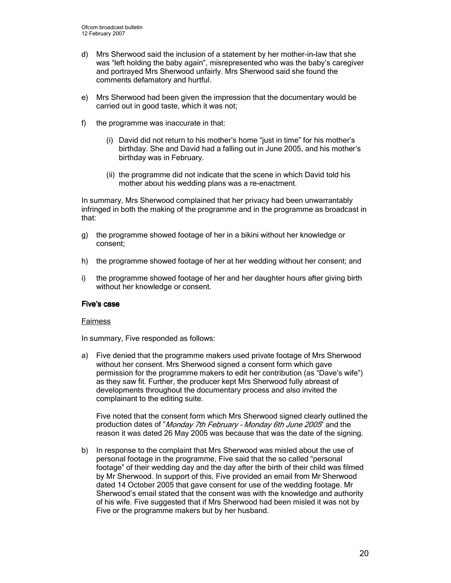- d) Mrs Sherwood said the inclusion of a statement by her mother-in-law that she was "left holding the baby again", misrepresented who was the baby's caregiver and portrayed Mrs Sherwood unfairly. Mrs Sherwood said she found the comments defamatory and hurtful.
- e) Mrs Sherwood had been given the impression that the documentary would be carried out in good taste, which it was not;
- f) the programme was inaccurate in that:
	- (i) David did not return to his mother's home "just in time" for his mother's birthday. She and David had a falling out in June 2005, and his mother's birthday was in February.
	- (ii) the programme did not indicate that the scene in which David told his mother about his wedding plans was a re-enactment.

In summary, Mrs Sherwood complained that her privacy had been unwarrantably infringed in both the making of the programme and in the programme as broadcast in that:

- g) the programme showed footage of her in a bikini without her knowledge or consent;
- h) the programme showed footage of her at her wedding without her consent; and
- i) the programme showed footage of her and her daughter hours after giving birth without her knowledge or consent.

## Five's case

#### Fairness

In summary, Five responded as follows:

a) Five denied that the programme makers used private footage of Mrs Sherwood without her consent. Mrs Sherwood signed a consent form which gave permission for the programme makers to edit her contribution (as "Dave's wife") as they saw fit. Further, the producer kept Mrs Sherwood fully abreast of developments throughout the documentary process and also invited the complainant to the editing suite.

Five noted that the consent form which Mrs Sherwood signed clearly outlined the production dates of "Monday 7th February - Monday 6th June 2005" and the reason it was dated 26 May 2005 was because that was the date of the signing.

b) In response to the complaint that Mrs Sherwood was misled about the use of personal footage in the programme, Five said that the so called "personal footage" of their wedding day and the day after the birth of their child was filmed by Mr Sherwood. In support of this, Five provided an email from Mr Sherwood dated 14 October 2005 that gave consent for use of the wedding footage. Mr Sherwood's email stated that the consent was with the knowledge and authority of his wife. Five suggested that if Mrs Sherwood had been misled it was not by Five or the programme makers but by her husband.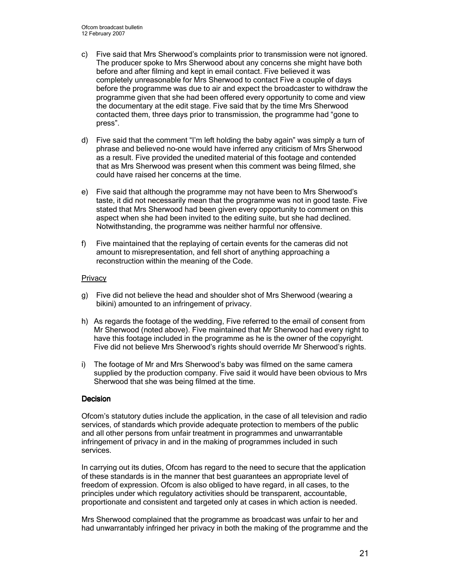- c) Five said that Mrs Sherwood's complaints prior to transmission were not ignored. The producer spoke to Mrs Sherwood about any concerns she might have both before and after filming and kept in email contact. Five believed it was completely unreasonable for Mrs Sherwood to contact Five a couple of days before the programme was due to air and expect the broadcaster to withdraw the programme given that she had been offered every opportunity to come and view the documentary at the edit stage. Five said that by the time Mrs Sherwood contacted them, three days prior to transmission, the programme had "gone to press".
- d) Five said that the comment "I'm left holding the baby again" was simply a turn of phrase and believed no-one would have inferred any criticism of Mrs Sherwood as a result. Five provided the unedited material of this footage and contended that as Mrs Sherwood was present when this comment was being filmed, she could have raised her concerns at the time.
- e) Five said that although the programme may not have been to Mrs Sherwood's taste, it did not necessarily mean that the programme was not in good taste. Five stated that Mrs Sherwood had been given every opportunity to comment on this aspect when she had been invited to the editing suite, but she had declined. Notwithstanding, the programme was neither harmful nor offensive.
- f) Five maintained that the replaying of certain events for the cameras did not amount to misrepresentation, and fell short of anything approaching a reconstruction within the meaning of the Code.

#### **Privacy**

- g) Five did not believe the head and shoulder shot of Mrs Sherwood (wearing a bikini) amounted to an infringement of privacy.
- h) As regards the footage of the wedding, Five referred to the email of consent from Mr Sherwood (noted above). Five maintained that Mr Sherwood had every right to have this footage included in the programme as he is the owner of the copyright. Five did not believe Mrs Sherwood's rights should override Mr Sherwood's rights.
- i) The footage of Mr and Mrs Sherwood's baby was filmed on the same camera supplied by the production company. Five said it would have been obvious to Mrs Sherwood that she was being filmed at the time.

## Decision

Ofcom's statutory duties include the application, in the case of all television and radio services, of standards which provide adequate protection to members of the public and all other persons from unfair treatment in programmes and unwarrantable infringement of privacy in and in the making of programmes included in such services.

In carrying out its duties, Ofcom has regard to the need to secure that the application of these standards is in the manner that best guarantees an appropriate level of freedom of expression. Ofcom is also obliged to have regard, in all cases, to the principles under which regulatory activities should be transparent, accountable, proportionate and consistent and targeted only at cases in which action is needed.

Mrs Sherwood complained that the programme as broadcast was unfair to her and had unwarrantably infringed her privacy in both the making of the programme and the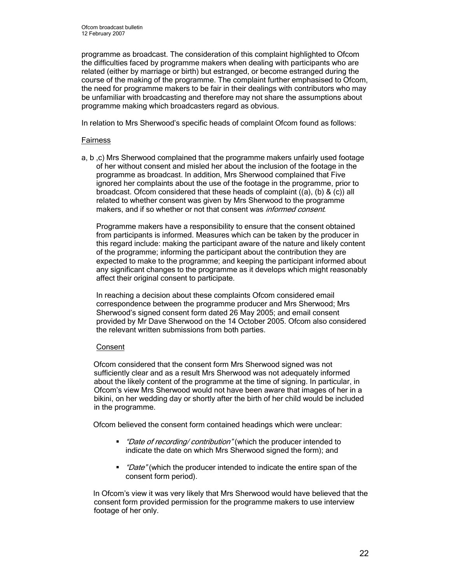programme as broadcast. The consideration of this complaint highlighted to Ofcom the difficulties faced by programme makers when dealing with participants who are related (either by marriage or birth) but estranged, or become estranged during the course of the making of the programme. The complaint further emphasised to Ofcom, the need for programme makers to be fair in their dealings with contributors who may be unfamiliar with broadcasting and therefore may not share the assumptions about programme making which broadcasters regard as obvious.

In relation to Mrs Sherwood's specific heads of complaint Ofcom found as follows:

#### **Fairness**

a, b ,c) Mrs Sherwood complained that the programme makers unfairly used footage of her without consent and misled her about the inclusion of the footage in the programme as broadcast. In addition, Mrs Sherwood complained that Five ignored her complaints about the use of the footage in the programme, prior to broadcast. Ofcom considered that these heads of complaint ((a), (b) & (c)) all related to whether consent was given by Mrs Sherwood to the programme makers, and if so whether or not that consent was *informed consent*.

 Programme makers have a responsibility to ensure that the consent obtained from participants is informed. Measures which can be taken by the producer in this regard include: making the participant aware of the nature and likely content of the programme; informing the participant about the contribution they are expected to make to the programme; and keeping the participant informed about any significant changes to the programme as it develops which might reasonably affect their original consent to participate.

In reaching a decision about these complaints Ofcom considered email correspondence between the programme producer and Mrs Sherwood; Mrs Sherwood's signed consent form dated 26 May 2005; and email consent provided by Mr Dave Sherwood on the 14 October 2005. Ofcom also considered the relevant written submissions from both parties.

## Consent

 Ofcom considered that the consent form Mrs Sherwood signed was not sufficiently clear and as a result Mrs Sherwood was not adequately informed about the likely content of the programme at the time of signing. In particular, in Ofcom's view Mrs Sherwood would not have been aware that images of her in a bikini, on her wedding day or shortly after the birth of her child would be included in the programme.

Ofcom believed the consent form contained headings which were unclear:

- " "Date of recording/ contribution" (which the producer intended to indicate the date on which Mrs Sherwood signed the form); and
- " "Date" (which the producer intended to indicate the entire span of the consent form period).

 In Ofcom's view it was very likely that Mrs Sherwood would have believed that the consent form provided permission for the programme makers to use interview footage of her only.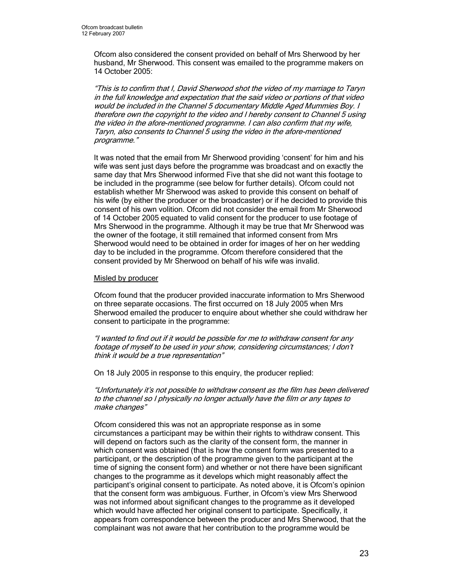Ofcom also considered the consent provided on behalf of Mrs Sherwood by her husband, Mr Sherwood. This consent was emailed to the programme makers on 14 October 2005:

"This is to confirm that I, David Sherwood shot the video of my marriage to Taryn in the full knowledge and expectation that the said video or portions of that video would be included in the Channel 5 documentary Middle Aged Mummies Boy. I therefore own the copyright to the video and I hereby consent to Channel 5 using the video in the afore-mentioned programme. I can also confirm that my wife, Taryn, also consents to Channel 5 using the video in the afore-mentioned programme."

 It was noted that the email from Mr Sherwood providing 'consent' for him and his wife was sent just days before the programme was broadcast and on exactly the same day that Mrs Sherwood informed Five that she did not want this footage to be included in the programme (see below for further details). Ofcom could not establish whether Mr Sherwood was asked to provide this consent on behalf of his wife (by either the producer or the broadcaster) or if he decided to provide this consent of his own volition. Ofcom did not consider the email from Mr Sherwood of 14 October 2005 equated to valid consent for the producer to use footage of Mrs Sherwood in the programme. Although it may be true that Mr Sherwood was the owner of the footage, it still remained that informed consent from Mrs Sherwood would need to be obtained in order for images of her on her wedding day to be included in the programme. Ofcom therefore considered that the consent provided by Mr Sherwood on behalf of his wife was invalid.

#### Misled by producer

 Ofcom found that the producer provided inaccurate information to Mrs Sherwood on three separate occasions. The first occurred on 18 July 2005 when Mrs Sherwood emailed the producer to enquire about whether she could withdraw her consent to participate in the programme:

"I wanted to find out if it would be possible for me to withdraw consent for any footage of myself to be used in your show, considering circumstances; I don't think it would be a true representation"

On 18 July 2005 in response to this enquiry, the producer replied:

"Unfortunately it's not possible to withdraw consent as the film has been delivered to the channel so I physically no longer actually have the film or any tapes to make changes"

 Ofcom considered this was not an appropriate response as in some circumstances a participant may be within their rights to withdraw consent. This will depend on factors such as the clarity of the consent form, the manner in which consent was obtained (that is how the consent form was presented to a participant, or the description of the programme given to the participant at the time of signing the consent form) and whether or not there have been significant changes to the programme as it develops which might reasonably affect the participant's original consent to participate. As noted above, it is Ofcom's opinion that the consent form was ambiguous. Further, in Ofcom's view Mrs Sherwood was not informed about significant changes to the programme as it developed which would have affected her original consent to participate. Specifically, it appears from correspondence between the producer and Mrs Sherwood, that the complainant was not aware that her contribution to the programme would be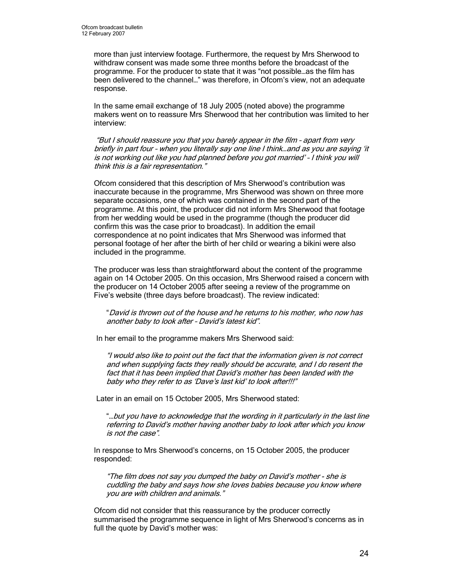more than just interview footage. Furthermore, the request by Mrs Sherwood to withdraw consent was made some three months before the broadcast of the programme. For the producer to state that it was "not possible…as the film has been delivered to the channel…" was therefore, in Ofcom's view, not an adequate response.

 In the same email exchange of 18 July 2005 (noted above) the programme makers went on to reassure Mrs Sherwood that her contribution was limited to her interview:

 "But I should reassure you that you barely appear in the film – apart from very briefly in part four – when you literally say one line I think…and as you are saying 'it is not working out like you had planned before you got married' – I think you will think this is a fair representation."

 Ofcom considered that this description of Mrs Sherwood's contribution was inaccurate because in the programme, Mrs Sherwood was shown on three more separate occasions, one of which was contained in the second part of the programme. At this point, the producer did not inform Mrs Sherwood that footage from her wedding would be used in the programme (though the producer did confirm this was the case prior to broadcast). In addition the email correspondence at no point indicates that Mrs Sherwood was informed that personal footage of her after the birth of her child or wearing a bikini were also included in the programme.

 The producer was less than straightforward about the content of the programme again on 14 October 2005. On this occasion, Mrs Sherwood raised a concern with the producer on 14 October 2005 after seeing a review of the programme on Five's website (three days before broadcast). The review indicated:

 "David is thrown out of the house and he returns to his mother, who now has another baby to look after – David's latest kid".

In her email to the programme makers Mrs Sherwood said:

 "I would also like to point out the fact that the information given is not correct and when supplying facts they really should be accurate, and I do resent the fact that it has been implied that David's mother has been landed with the baby who they refer to as 'Dave's last kid' to look after!!!"

Later in an email on 15 October 2005, Mrs Sherwood stated:

 "…but you have to acknowledge that the wording in it particularly in the last line referring to David's mother having another baby to look after which you know is not the case".

 In response to Mrs Sherwood's concerns, on 15 October 2005, the producer responded:

 "The film does not say you dumped the baby on David's mother - she is cuddling the baby and says how she loves babies because you know where you are with children and animals."

 Ofcom did not consider that this reassurance by the producer correctly summarised the programme sequence in light of Mrs Sherwood's concerns as in full the quote by David's mother was: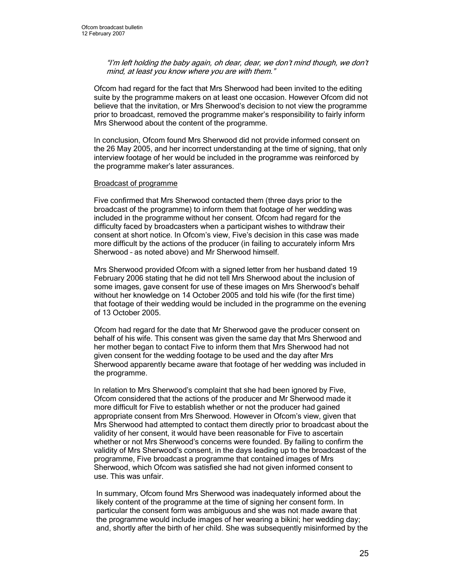"I'm left holding the baby again, oh dear, dear, we don't mind though, we don't mind, at least you know where you are with them."

 Ofcom had regard for the fact that Mrs Sherwood had been invited to the editing suite by the programme makers on at least one occasion. However Ofcom did not believe that the invitation, or Mrs Sherwood's decision to not view the programme prior to broadcast, removed the programme maker's responsibility to fairly inform Mrs Sherwood about the content of the programme.

 In conclusion, Ofcom found Mrs Sherwood did not provide informed consent on the 26 May 2005, and her incorrect understanding at the time of signing, that only interview footage of her would be included in the programme was reinforced by the programme maker's later assurances.

#### Broadcast of programme

 Five confirmed that Mrs Sherwood contacted them (three days prior to the broadcast of the programme) to inform them that footage of her wedding was included in the programme without her consent. Ofcom had regard for the difficulty faced by broadcasters when a participant wishes to withdraw their consent at short notice. In Ofcom's view, Five's decision in this case was made more difficult by the actions of the producer (in failing to accurately inform Mrs Sherwood – as noted above) and Mr Sherwood himself.

 Mrs Sherwood provided Ofcom with a signed letter from her husband dated 19 February 2006 stating that he did not tell Mrs Sherwood about the inclusion of some images, gave consent for use of these images on Mrs Sherwood's behalf without her knowledge on 14 October 2005 and told his wife (for the first time) that footage of their wedding would be included in the programme on the evening of 13 October 2005.

 Ofcom had regard for the date that Mr Sherwood gave the producer consent on behalf of his wife. This consent was given the same day that Mrs Sherwood and her mother began to contact Five to inform them that Mrs Sherwood had not given consent for the wedding footage to be used and the day after Mrs Sherwood apparently became aware that footage of her wedding was included in the programme.

 In relation to Mrs Sherwood's complaint that she had been ignored by Five, Ofcom considered that the actions of the producer and Mr Sherwood made it more difficult for Five to establish whether or not the producer had gained appropriate consent from Mrs Sherwood. However in Ofcom's view, given that Mrs Sherwood had attempted to contact them directly prior to broadcast about the validity of her consent, it would have been reasonable for Five to ascertain whether or not Mrs Sherwood's concerns were founded. By failing to confirm the validity of Mrs Sherwood's consent, in the days leading up to the broadcast of the programme, Five broadcast a programme that contained images of Mrs Sherwood, which Ofcom was satisfied she had not given informed consent to use. This was unfair.

 In summary, Ofcom found Mrs Sherwood was inadequately informed about the likely content of the programme at the time of signing her consent form. In particular the consent form was ambiguous and she was not made aware that the programme would include images of her wearing a bikini; her wedding day; and, shortly after the birth of her child. She was subsequently misinformed by the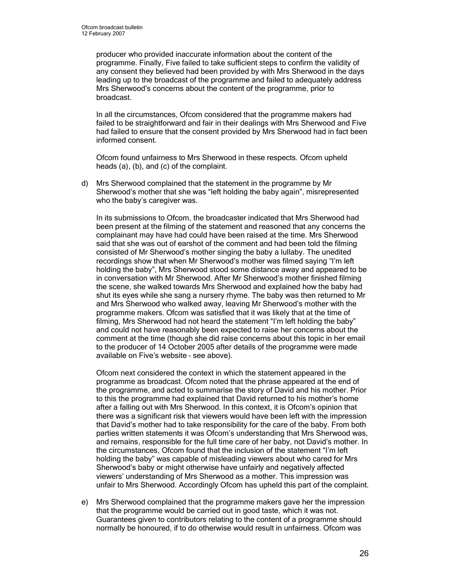producer who provided inaccurate information about the content of the programme. Finally, Five failed to take sufficient steps to confirm the validity of any consent they believed had been provided by with Mrs Sherwood in the days leading up to the broadcast of the programme and failed to adequately address Mrs Sherwood's concerns about the content of the programme, prior to broadcast.

 In all the circumstances, Ofcom considered that the programme makers had failed to be straightforward and fair in their dealings with Mrs Sherwood and Five had failed to ensure that the consent provided by Mrs Sherwood had in fact been informed consent.

 Ofcom found unfairness to Mrs Sherwood in these respects. Ofcom upheld heads (a), (b), and (c) of the complaint.

d) Mrs Sherwood complained that the statement in the programme by Mr Sherwood's mother that she was "left holding the baby again", misrepresented who the baby's caregiver was.

In its submissions to Ofcom, the broadcaster indicated that Mrs Sherwood had been present at the filming of the statement and reasoned that any concerns the complainant may have had could have been raised at the time. Mrs Sherwood said that she was out of earshot of the comment and had been told the filming consisted of Mr Sherwood's mother singing the baby a lullaby. The unedited recordings show that when Mr Sherwood's mother was filmed saying "I'm left holding the baby", Mrs Sherwood stood some distance away and appeared to be in conversation with Mr Sherwood. After Mr Sherwood's mother finished filming the scene, she walked towards Mrs Sherwood and explained how the baby had shut its eyes while she sang a nursery rhyme. The baby was then returned to Mr and Mrs Sherwood who walked away, leaving Mr Sherwood's mother with the programme makers. Ofcom was satisfied that it was likely that at the time of filming, Mrs Sherwood had not heard the statement "I'm left holding the baby" and could not have reasonably been expected to raise her concerns about the comment at the time (though she did raise concerns about this topic in her email to the producer of 14 October 2005 after details of the programme were made available on Five's website – see above).

 Ofcom next considered the context in which the statement appeared in the programme as broadcast. Ofcom noted that the phrase appeared at the end of the programme, and acted to summarise the story of David and his mother. Prior to this the programme had explained that David returned to his mother's home after a falling out with Mrs Sherwood. In this context, it is Ofcom's opinion that there was a significant risk that viewers would have been left with the impression that David's mother had to take responsibility for the care of the baby. From both parties written statements it was Ofcom's understanding that Mrs Sherwood was, and remains, responsible for the full time care of her baby, not David's mother. In the circumstances, Ofcom found that the inclusion of the statement "I'm left holding the baby" was capable of misleading viewers about who cared for Mrs Sherwood's baby or might otherwise have unfairly and negatively affected viewers' understanding of Mrs Sherwood as a mother. This impression was unfair to Mrs Sherwood. Accordingly Ofcom has upheld this part of the complaint.

e) Mrs Sherwood complained that the programme makers gave her the impression that the programme would be carried out in good taste, which it was not. Guarantees given to contributors relating to the content of a programme should normally be honoured, if to do otherwise would result in unfairness. Ofcom was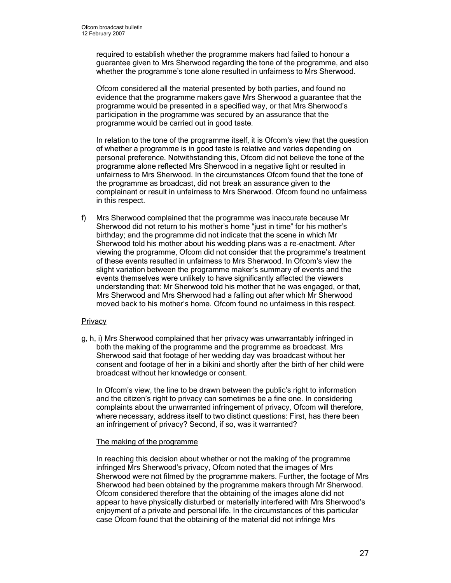required to establish whether the programme makers had failed to honour a guarantee given to Mrs Sherwood regarding the tone of the programme, and also whether the programme's tone alone resulted in unfairness to Mrs Sherwood.

 Ofcom considered all the material presented by both parties, and found no evidence that the programme makers gave Mrs Sherwood a guarantee that the programme would be presented in a specified way, or that Mrs Sherwood's participation in the programme was secured by an assurance that the programme would be carried out in good taste.

 In relation to the tone of the programme itself, it is Ofcom's view that the question of whether a programme is in good taste is relative and varies depending on personal preference. Notwithstanding this, Ofcom did not believe the tone of the programme alone reflected Mrs Sherwood in a negative light or resulted in unfairness to Mrs Sherwood. In the circumstances Ofcom found that the tone of the programme as broadcast, did not break an assurance given to the complainant or result in unfairness to Mrs Sherwood. Ofcom found no unfairness in this respect.

f) Mrs Sherwood complained that the programme was inaccurate because Mr Sherwood did not return to his mother's home "just in time" for his mother's birthday; and the programme did not indicate that the scene in which Mr Sherwood told his mother about his wedding plans was a re-enactment. After viewing the programme, Ofcom did not consider that the programme's treatment of these events resulted in unfairness to Mrs Sherwood. In Ofcom's view the slight variation between the programme maker's summary of events and the events themselves were unlikely to have significantly affected the viewers understanding that: Mr Sherwood told his mother that he was engaged, or that, Mrs Sherwood and Mrs Sherwood had a falling out after which Mr Sherwood moved back to his mother's home. Ofcom found no unfairness in this respect.

#### Privacy

g, h, i) Mrs Sherwood complained that her privacy was unwarrantably infringed in both the making of the programme and the programme as broadcast. Mrs Sherwood said that footage of her wedding day was broadcast without her consent and footage of her in a bikini and shortly after the birth of her child were broadcast without her knowledge or consent.

In Ofcom's view, the line to be drawn between the public's right to information and the citizen's right to privacy can sometimes be a fine one. In considering complaints about the unwarranted infringement of privacy, Ofcom will therefore, where necessary, address itself to two distinct questions: First, has there been an infringement of privacy? Second, if so, was it warranted?

#### The making of the programme

In reaching this decision about whether or not the making of the programme infringed Mrs Sherwood's privacy, Ofcom noted that the images of Mrs Sherwood were not filmed by the programme makers. Further, the footage of Mrs Sherwood had been obtained by the programme makers through Mr Sherwood. Ofcom considered therefore that the obtaining of the images alone did not appear to have physically disturbed or materially interfered with Mrs Sherwood's enjoyment of a private and personal life. In the circumstances of this particular case Ofcom found that the obtaining of the material did not infringe Mrs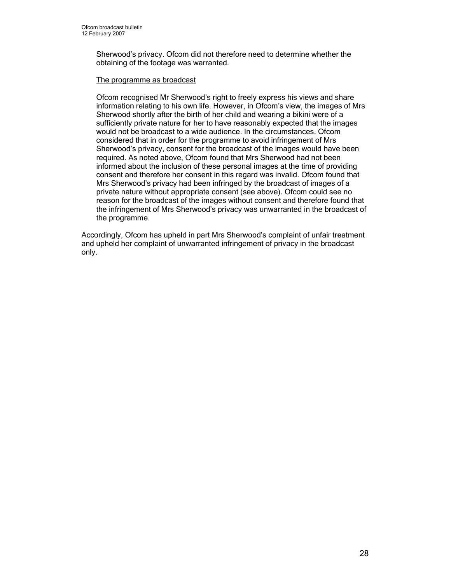Sherwood's privacy. Ofcom did not therefore need to determine whether the obtaining of the footage was warranted.

#### The programme as broadcast

Ofcom recognised Mr Sherwood's right to freely express his views and share information relating to his own life. However, in Ofcom's view, the images of Mrs Sherwood shortly after the birth of her child and wearing a bikini were of a sufficiently private nature for her to have reasonably expected that the images would not be broadcast to a wide audience. In the circumstances, Ofcom considered that in order for the programme to avoid infringement of Mrs Sherwood's privacy, consent for the broadcast of the images would have been required. As noted above, Ofcom found that Mrs Sherwood had not been informed about the inclusion of these personal images at the time of providing consent and therefore her consent in this regard was invalid. Ofcom found that Mrs Sherwood's privacy had been infringed by the broadcast of images of a private nature without appropriate consent (see above). Ofcom could see no reason for the broadcast of the images without consent and therefore found that the infringement of Mrs Sherwood's privacy was unwarranted in the broadcast of the programme.

Accordingly, Ofcom has upheld in part Mrs Sherwood's complaint of unfair treatment and upheld her complaint of unwarranted infringement of privacy in the broadcast only.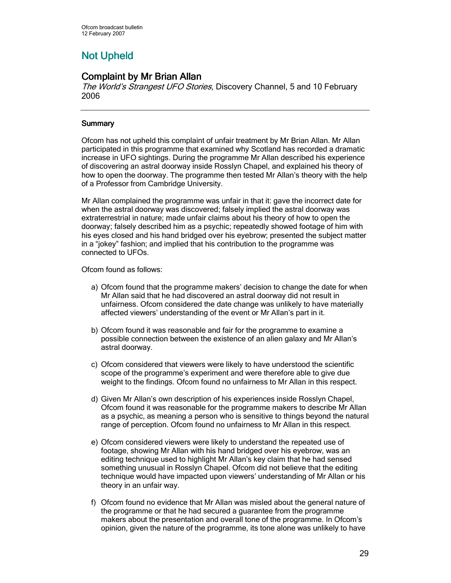# **Not Upheld**

# Complaint by Mr Brian Allan Allan

The World's Strangest UFO Stories, Discovery Channel, 5 and 10 February 2006

## **Summary**

Ofcom has not upheld this complaint of unfair treatment by Mr Brian Allan. Mr Allan participated in this programme that examined why Scotland has recorded a dramatic increase in UFO sightings. During the programme Mr Allan described his experience of discovering an astral doorway inside Rosslyn Chapel, and explained his theory of how to open the doorway. The programme then tested Mr Allan's theory with the help of a Professor from Cambridge University.

Mr Allan complained the programme was unfair in that it: gave the incorrect date for when the astral doorway was discovered; falsely implied the astral doorway was extraterrestrial in nature; made unfair claims about his theory of how to open the doorway; falsely described him as a psychic; repeatedly showed footage of him with his eyes closed and his hand bridged over his eyebrow; presented the subject matter in a "jokey" fashion; and implied that his contribution to the programme was connected to UFOs.

Ofcom found as follows:

- a) Ofcom found that the programme makers' decision to change the date for when Mr Allan said that he had discovered an astral doorway did not result in unfairness. Ofcom considered the date change was unlikely to have materially affected viewers' understanding of the event or Mr Allan's part in it.
- b) Ofcom found it was reasonable and fair for the programme to examine a possible connection between the existence of an alien galaxy and Mr Allan's astral doorway.
- c) Ofcom considered that viewers were likely to have understood the scientific scope of the programme's experiment and were therefore able to give due weight to the findings. Ofcom found no unfairness to Mr Allan in this respect.
- d) Given Mr Allan's own description of his experiences inside Rosslyn Chapel, Ofcom found it was reasonable for the programme makers to describe Mr Allan as a psychic, as meaning a person who is sensitive to things beyond the natural range of perception. Ofcom found no unfairness to Mr Allan in this respect.
- e) Ofcom considered viewers were likely to understand the repeated use of footage, showing Mr Allan with his hand bridged over his eyebrow, was an editing technique used to highlight Mr Allan's key claim that he had sensed something unusual in Rosslyn Chapel. Ofcom did not believe that the editing technique would have impacted upon viewers' understanding of Mr Allan or his theory in an unfair way.
- f) Ofcom found no evidence that Mr Allan was misled about the general nature of the programme or that he had secured a guarantee from the programme makers about the presentation and overall tone of the programme. In Ofcom's opinion, given the nature of the programme, its tone alone was unlikely to have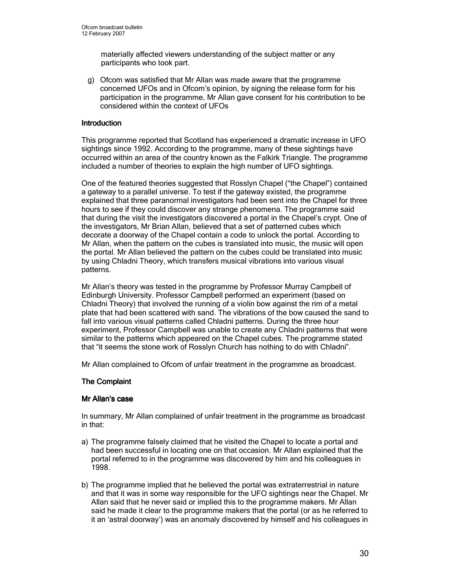materially affected viewers understanding of the subject matter or any participants who took part.

g) Ofcom was satisfied that Mr Allan was made aware that the programme concerned UFOs and in Ofcom's opinion, by signing the release form for his participation in the programme, Mr Allan gave consent for his contribution to be considered within the context of UFOs

#### Introduction

This programme reported that Scotland has experienced a dramatic increase in UFO sightings since 1992. According to the programme, many of these sightings have occurred within an area of the country known as the Falkirk Triangle. The programme included a number of theories to explain the high number of UFO sightings.

One of the featured theories suggested that Rosslyn Chapel ("the Chapel") contained a gateway to a parallel universe. To test if the gateway existed, the programme explained that three paranormal investigators had been sent into the Chapel for three hours to see if they could discover any strange phenomena. The programme said that during the visit the investigators discovered a portal in the Chapel's crypt. One of the investigators, Mr Brian Allan, believed that a set of patterned cubes which decorate a doorway of the Chapel contain a code to unlock the portal. According to Mr Allan, when the pattern on the cubes is translated into music, the music will open the portal. Mr Allan believed the pattern on the cubes could be translated into music by using Chladni Theory, which transfers musical vibrations into various visual patterns.

Mr Allan's theory was tested in the programme by Professor Murray Campbell of Edinburgh University. Professor Campbell performed an experiment (based on Chladni Theory) that involved the running of a violin bow against the rim of a metal plate that had been scattered with sand. The vibrations of the bow caused the sand to fall into various visual patterns called Chladni patterns. During the three hour experiment, Professor Campbell was unable to create any Chladni patterns that were similar to the patterns which appeared on the Chapel cubes. The programme stated that "it seems the stone work of Rosslyn Church has nothing to do with Chladni".

Mr Allan complained to Ofcom of unfair treatment in the programme as broadcast.

## **The Complaint**

#### Mr Allan's case

In summary, Mr Allan complained of unfair treatment in the programme as broadcast in that:

- a) The programme falsely claimed that he visited the Chapel to locate a portal and had been successful in locating one on that occasion. Mr Allan explained that the portal referred to in the programme was discovered by him and his colleagues in 1998.
- b) The programme implied that he believed the portal was extraterrestrial in nature and that it was in some way responsible for the UFO sightings near the Chapel. Mr Allan said that he never said or implied this to the programme makers. Mr Allan said he made it clear to the programme makers that the portal (or as he referred to it an 'astral doorway') was an anomaly discovered by himself and his colleagues in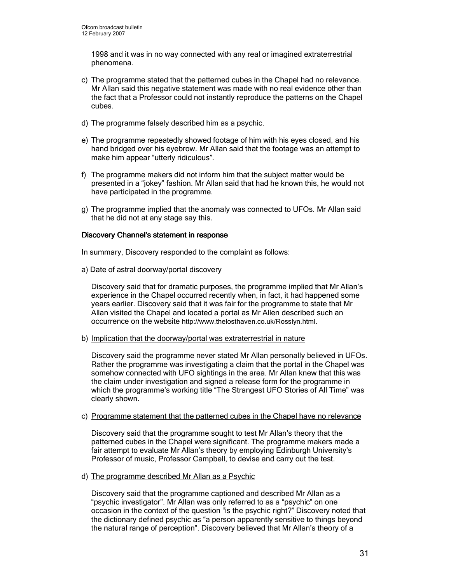1998 and it was in no way connected with any real or imagined extraterrestrial phenomena.

- c) The programme stated that the patterned cubes in the Chapel had no relevance. Mr Allan said this negative statement was made with no real evidence other than the fact that a Professor could not instantly reproduce the patterns on the Chapel cubes.
- d) The programme falsely described him as a psychic.
- e) The programme repeatedly showed footage of him with his eyes closed, and his hand bridged over his eyebrow. Mr Allan said that the footage was an attempt to make him appear "utterly ridiculous".
- f) The programme makers did not inform him that the subject matter would be presented in a "jokey" fashion. Mr Allan said that had he known this, he would not have participated in the programme.
- g) The programme implied that the anomaly was connected to UFOs. Mr Allan said that he did not at any stage say this.

#### Discovery Channel's statement in response

In summary, Discovery responded to the complaint as follows:

a) Date of astral doorway/portal discovery

 Discovery said that for dramatic purposes, the programme implied that Mr Allan's experience in the Chapel occurred recently when, in fact, it had happened some years earlier. Discovery said that it was fair for the programme to state that Mr Allan visited the Chapel and located a portal as Mr Allen described such an occurrence on the website http://www.thelosthaven.co.uk/Rosslyn.html.

b) Implication that the doorway/portal was extraterrestrial in nature

Discovery said the programme never stated Mr Allan personally believed in UFOs. Rather the programme was investigating a claim that the portal in the Chapel was somehow connected with UFO sightings in the area. Mr Allan knew that this was the claim under investigation and signed a release form for the programme in which the programme's working title "The Strangest UFO Stories of All Time" was clearly shown.

#### c) Programme statement that the patterned cubes in the Chapel have no relevance

Discovery said that the programme sought to test Mr Allan's theory that the patterned cubes in the Chapel were significant. The programme makers made a fair attempt to evaluate Mr Allan's theory by employing Edinburgh University's Professor of music, Professor Campbell, to devise and carry out the test.

## d) The programme described Mr Allan as a Psychic

Discovery said that the programme captioned and described Mr Allan as a "psychic investigator". Mr Allan was only referred to as a "psychic" on one occasion in the context of the question "is the psychic right?" Discovery noted that the dictionary defined psychic as "a person apparently sensitive to things beyond the natural range of perception". Discovery believed that Mr Allan's theory of a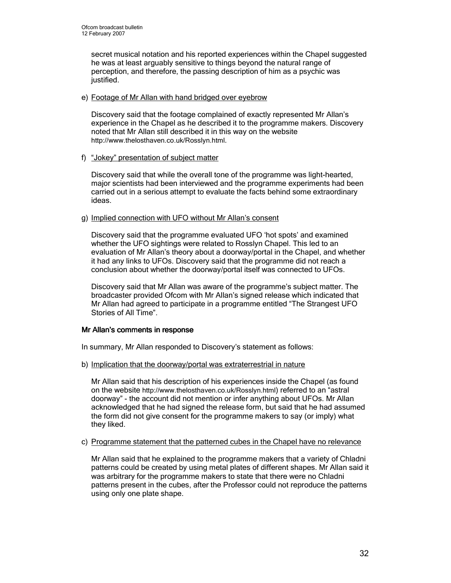secret musical notation and his reported experiences within the Chapel suggested he was at least arguably sensitive to things beyond the natural range of perception, and therefore, the passing description of him as a psychic was justified.

#### e) Footage of Mr Allan with hand bridged over eyebrow

Discovery said that the footage complained of exactly represented Mr Allan's experience in the Chapel as he described it to the programme makers. Discovery noted that Mr Allan still described it in this way on the website http://www.thelosthaven.co.uk/Rosslyn.html.

#### f) "Jokey" presentation of subject matter

Discovery said that while the overall tone of the programme was light-hearted, major scientists had been interviewed and the programme experiments had been carried out in a serious attempt to evaluate the facts behind some extraordinary ideas.

## g) Implied connection with UFO without Mr Allan's consent

 Discovery said that the programme evaluated UFO 'hot spots' and examined whether the UFO sightings were related to Rosslyn Chapel. This led to an evaluation of Mr Allan's theory about a doorway/portal in the Chapel, and whether it had any links to UFOs. Discovery said that the programme did not reach a conclusion about whether the doorway/portal itself was connected to UFOs.

Discovery said that Mr Allan was aware of the programme's subject matter. The broadcaster provided Ofcom with Mr Allan's signed release which indicated that Mr Allan had agreed to participate in a programme entitled "The Strangest UFO Stories of All Time".

## Mr Allan's comments in response

In summary, Mr Allan responded to Discovery's statement as follows:

b) Implication that the doorway/portal was extraterrestrial in nature

 Mr Allan said that his description of his experiences inside the Chapel (as found on the website http://www.thelosthaven.co.uk/Rosslyn.html) referred to an "astral doorway" - the account did not mention or infer anything about UFOs. Mr Allan acknowledged that he had signed the release form, but said that he had assumed the form did not give consent for the programme makers to say (or imply) what they liked.

#### c) Programme statement that the patterned cubes in the Chapel have no relevance

 Mr Allan said that he explained to the programme makers that a variety of Chladni patterns could be created by using metal plates of different shapes. Mr Allan said it was arbitrary for the programme makers to state that there were no Chladni patterns present in the cubes, after the Professor could not reproduce the patterns using only one plate shape.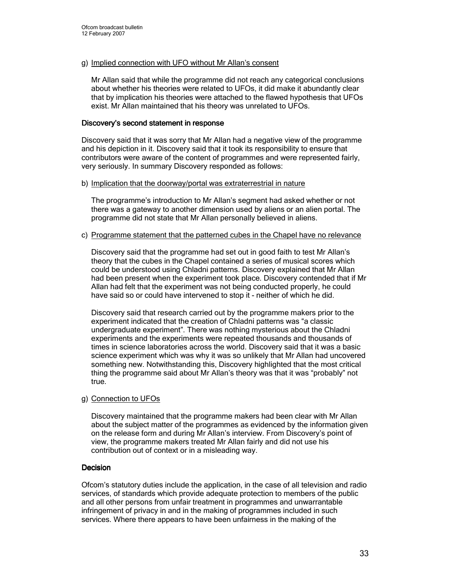g) Implied connection with UFO without Mr Allan's consent

 Mr Allan said that while the programme did not reach any categorical conclusions about whether his theories were related to UFOs, it did make it abundantly clear that by implication his theories were attached to the flawed hypothesis that UFOs exist. Mr Allan maintained that his theory was unrelated to UFOs.

#### Discovery's second statement in response

Discovery said that it was sorry that Mr Allan had a negative view of the programme and his depiction in it. Discovery said that it took its responsibility to ensure that contributors were aware of the content of programmes and were represented fairly, very seriously. In summary Discovery responded as follows:

#### b) Implication that the doorway/portal was extraterrestrial in nature

 The programme's introduction to Mr Allan's segment had asked whether or not there was a gateway to another dimension used by aliens or an alien portal. The programme did not state that Mr Allan personally believed in aliens.

#### c) Programme statement that the patterned cubes in the Chapel have no relevance

 Discovery said that the programme had set out in good faith to test Mr Allan's theory that the cubes in the Chapel contained a series of musical scores which could be understood using Chladni patterns. Discovery explained that Mr Allan had been present when the experiment took place. Discovery contended that if Mr Allan had felt that the experiment was not being conducted properly, he could have said so or could have intervened to stop it - neither of which he did.

 Discovery said that research carried out by the programme makers prior to the experiment indicated that the creation of Chladni patterns was "a classic undergraduate experiment". There was nothing mysterious about the Chladni experiments and the experiments were repeated thousands and thousands of times in science laboratories across the world. Discovery said that it was a basic science experiment which was why it was so unlikely that Mr Allan had uncovered something new. Notwithstanding this, Discovery highlighted that the most critical thing the programme said about Mr Allan's theory was that it was "probably" not true.

## g) Connection to UFOs

 Discovery maintained that the programme makers had been clear with Mr Allan about the subject matter of the programmes as evidenced by the information given on the release form and during Mr Allan's interview. From Discovery's point of view, the programme makers treated Mr Allan fairly and did not use his contribution out of context or in a misleading way.

#### **Decision**

Ofcom's statutory duties include the application, in the case of all television and radio services, of standards which provide adequate protection to members of the public and all other persons from unfair treatment in programmes and unwarrantable infringement of privacy in and in the making of programmes included in such services. Where there appears to have been unfairness in the making of the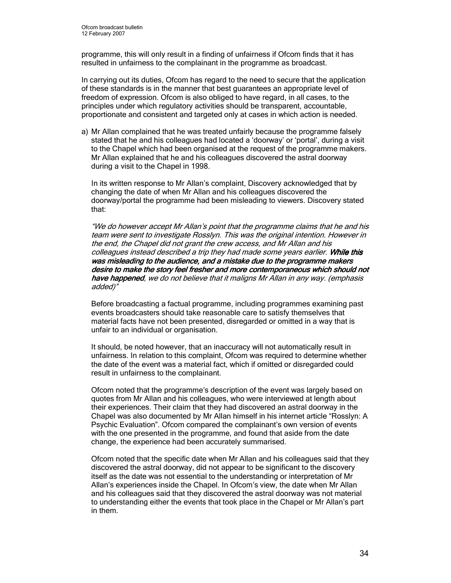programme, this will only result in a finding of unfairness if Ofcom finds that it has resulted in unfairness to the complainant in the programme as broadcast.

In carrying out its duties, Ofcom has regard to the need to secure that the application of these standards is in the manner that best guarantees an appropriate level of freedom of expression. Ofcom is also obliged to have regard, in all cases, to the principles under which regulatory activities should be transparent, accountable, proportionate and consistent and targeted only at cases in which action is needed.

a) Mr Allan complained that he was treated unfairly because the programme falsely stated that he and his colleagues had located a 'doorway' or 'portal', during a visit to the Chapel which had been organised at the request of the programme makers. Mr Allan explained that he and his colleagues discovered the astral doorway during a visit to the Chapel in 1998.

In its written response to Mr Allan's complaint, Discovery acknowledged that by changing the date of when Mr Allan and his colleagues discovered the doorway/portal the programme had been misleading to viewers. Discovery stated that:

"We do however accept Mr Allan's point that the programme claims that he and his team were sent to investigate Rosslyn. This was the original intention. However in the end, the Chapel did not grant the crew access, and Mr Allan and his colleagues instead described a trip they had made some years earlier. While this was misleading to the audience, and a mistake due to the programme makers desire to make the story feel fresher and more contemporaneous which should not have happened, we do not believe that it maligns Mr Allan in any way. (emphasis added)"

Before broadcasting a factual programme, including programmes examining past events broadcasters should take reasonable care to satisfy themselves that material facts have not been presented, disregarded or omitted in a way that is unfair to an individual or organisation.

 It should, be noted however, that an inaccuracy will not automatically result in unfairness. In relation to this complaint, Ofcom was required to determine whether the date of the event was a material fact, which if omitted or disregarded could result in unfairness to the complainant.

Ofcom noted that the programme's description of the event was largely based on quotes from Mr Allan and his colleagues, who were interviewed at length about their experiences. Their claim that they had discovered an astral doorway in the Chapel was also documented by Mr Allan himself in his internet article "Rosslyn: A Psychic Evaluation". Ofcom compared the complainant's own version of events with the one presented in the programme, and found that aside from the date change, the experience had been accurately summarised.

Ofcom noted that the specific date when Mr Allan and his colleagues said that they discovered the astral doorway, did not appear to be significant to the discovery itself as the date was not essential to the understanding or interpretation of Mr Allan's experiences inside the Chapel. In Ofcom's view, the date when Mr Allan and his colleagues said that they discovered the astral doorway was not material to understanding either the events that took place in the Chapel or Mr Allan's part in them.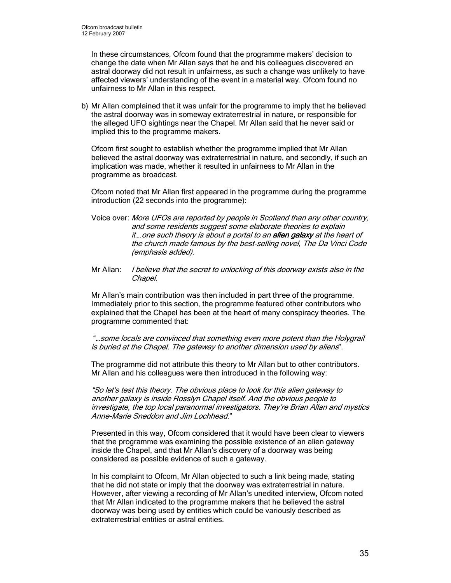In these circumstances, Ofcom found that the programme makers' decision to change the date when Mr Allan says that he and his colleagues discovered an astral doorway did not result in unfairness, as such a change was unlikely to have affected viewers' understanding of the event in a material way. Ofcom found no unfairness to Mr Allan in this respect.

b) Mr Allan complained that it was unfair for the programme to imply that he believed the astral doorway was in someway extraterrestrial in nature, or responsible for the alleged UFO sightings near the Chapel. Mr Allan said that he never said or implied this to the programme makers.

Ofcom first sought to establish whether the programme implied that Mr Allan believed the astral doorway was extraterrestrial in nature, and secondly, if such an implication was made, whether it resulted in unfairness to Mr Allan in the programme as broadcast.

Ofcom noted that Mr Allan first appeared in the programme during the programme introduction (22 seconds into the programme):

- Voice over: More UFOs are reported by people in Scotland than any other country, and some residents suggest some elaborate theories to explain it....one such theory is about a portal to an **alien galaxy** at the heart of the church made famous by the best-selling novel, The Da Vinci Code (emphasis added).
- Mr Allan: I believe that the secret to unlocking of this doorway exists also in the Chapel.

Mr Allan's main contribution was then included in part three of the programme. Immediately prior to this section, the programme featured other contributors who explained that the Chapel has been at the heart of many conspiracy theories. The programme commented that:

 "…some locals are convinced that something even more potent than the Holygrail is buried at the Chapel. The gateway to another dimension used by aliens".

The programme did not attribute this theory to Mr Allan but to other contributors. Mr Allan and his colleagues were then introduced in the following way:

"So let's test this theory. The obvious place to look for this alien gateway to another galaxy is inside Rosslyn Chapel itself. And the obvious people to investigate, the top local paranormal investigators. They're Brian Allan and mystics Anne-Marie Sneddon and Jim Lochhead."

Presented in this way, Ofcom considered that it would have been clear to viewers that the programme was examining the possible existence of an alien gateway inside the Chapel, and that Mr Allan's discovery of a doorway was being considered as possible evidence of such a gateway.

In his complaint to Ofcom, Mr Allan objected to such a link being made, stating that he did not state or imply that the doorway was extraterrestrial in nature. However, after viewing a recording of Mr Allan's unedited interview, Ofcom noted that Mr Allan indicated to the programme makers that he believed the astral doorway was being used by entities which could be variously described as extraterrestrial entities or astral entities.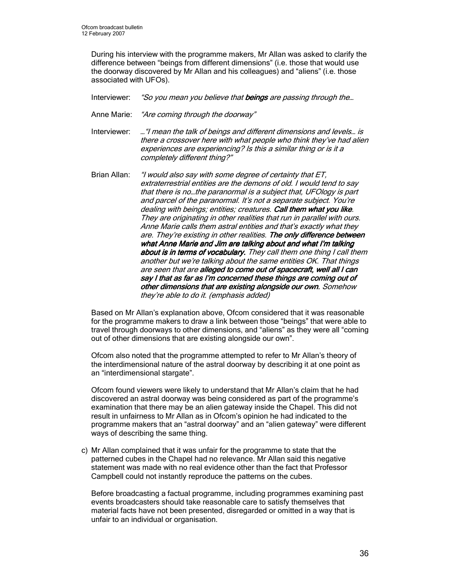During his interview with the programme makers, Mr Allan was asked to clarify the difference between "beings from different dimensions" (i.e. those that would use the doorway discovered by Mr Allan and his colleagues) and "aliens" (i.e. those associated with UFOs).

- Interviewer: "So you mean you believe that **beings** are passing through the...
- Anne Marie: "Are coming through the doorway"
- Interviewer: … "I mean the talk of beings and different dimensions and levels... is there a crossover here with what people who think they've had alien experiences are experiencing? Is this a similar thing or is it a completely different thing?"
- Brian Allan: "I would also say with some degree of certainty that ET, extraterrestrial entities are the demons of old. I would tend to say that there is no…the paranormal is a subject that, UFOlogy is part and parcel of the paranormal. It's not a separate subject. You're dealing with beings; entities; creatures. Call them what you like. They are originating in other realities that run in parallel with ours. Anne Marie calls them astral entities and that's exactly what they are. They're existing in other realities. The only difference between what Anne Marie and Jim are talking about and what I'm talking about is in terms of vocabulary. They call them one thing I call them another but we're talking about the same entities OK. That things are seen that are alleged to come out of spacecraft, well all I can say I that as far as I'm concerned these things are coming out of other dimensions that are existing alongside our own. Somehow they're able to do it. (emphasis added)

Based on Mr Allan's explanation above, Ofcom considered that it was reasonable for the programme makers to draw a link between those "beings" that were able to travel through doorways to other dimensions, and "aliens" as they were all "coming out of other dimensions that are existing alongside our own".

Ofcom also noted that the programme attempted to refer to Mr Allan's theory of the interdimensional nature of the astral doorway by describing it at one point as an "interdimensional stargate".

 Ofcom found viewers were likely to understand that Mr Allan's claim that he had discovered an astral doorway was being considered as part of the programme's examination that there may be an alien gateway inside the Chapel. This did not result in unfairness to Mr Allan as in Ofcom's opinion he had indicated to the programme makers that an "astral doorway" and an "alien gateway" were different ways of describing the same thing.

c) Mr Allan complained that it was unfair for the programme to state that the patterned cubes in the Chapel had no relevance. Mr Allan said this negative statement was made with no real evidence other than the fact that Professor Campbell could not instantly reproduce the patterns on the cubes.

 Before broadcasting a factual programme, including programmes examining past events broadcasters should take reasonable care to satisfy themselves that material facts have not been presented, disregarded or omitted in a way that is unfair to an individual or organisation.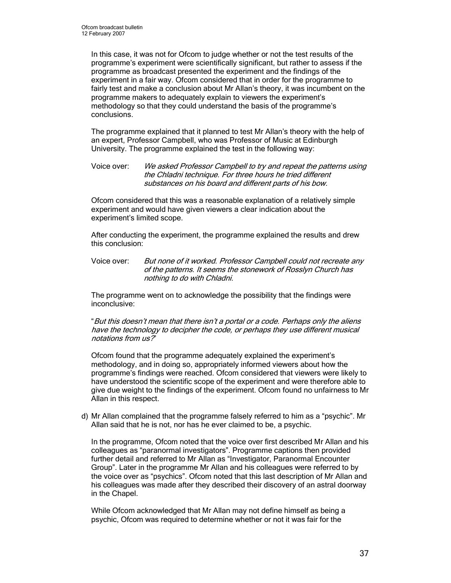In this case, it was not for Ofcom to judge whether or not the test results of the programme's experiment were scientifically significant, but rather to assess if the programme as broadcast presented the experiment and the findings of the experiment in a fair way. Ofcom considered that in order for the programme to fairly test and make a conclusion about Mr Allan's theory, it was incumbent on the programme makers to adequately explain to viewers the experiment's methodology so that they could understand the basis of the programme's conclusions.

 The programme explained that it planned to test Mr Allan's theory with the help of an expert, Professor Campbell, who was Professor of Music at Edinburgh University. The programme explained the test in the following way:

Voice over: We asked Professor Campbell to try and repeat the patterns using the Chladni technique. For three hours he tried different substances on his board and different parts of his bow.

Ofcom considered that this was a reasonable explanation of a relatively simple experiment and would have given viewers a clear indication about the experiment's limited scope.

After conducting the experiment, the programme explained the results and drew this conclusion:

Voice over: But none of it worked. Professor Campbell could not recreate any of the patterns. It seems the stonework of Rosslyn Church has nothing to do with Chladni.

The programme went on to acknowledge the possibility that the findings were inconclusive:

"But this doesn't mean that there isn't a portal or a code. Perhaps only the aliens have the technology to decipher the code, or perhaps they use different musical notations from us?"

Ofcom found that the programme adequately explained the experiment's methodology, and in doing so, appropriately informed viewers about how the programme's findings were reached. Ofcom considered that viewers were likely to have understood the scientific scope of the experiment and were therefore able to give due weight to the findings of the experiment. Ofcom found no unfairness to Mr Allan in this respect.

d) Mr Allan complained that the programme falsely referred to him as a "psychic". Mr Allan said that he is not, nor has he ever claimed to be, a psychic.

 In the programme, Ofcom noted that the voice over first described Mr Allan and his colleagues as "paranormal investigators". Programme captions then provided further detail and referred to Mr Allan as "Investigator, Paranormal Encounter Group". Later in the programme Mr Allan and his colleagues were referred to by the voice over as "psychics". Ofcom noted that this last description of Mr Allan and his colleagues was made after they described their discovery of an astral doorway in the Chapel.

 While Ofcom acknowledged that Mr Allan may not define himself as being a psychic, Ofcom was required to determine whether or not it was fair for the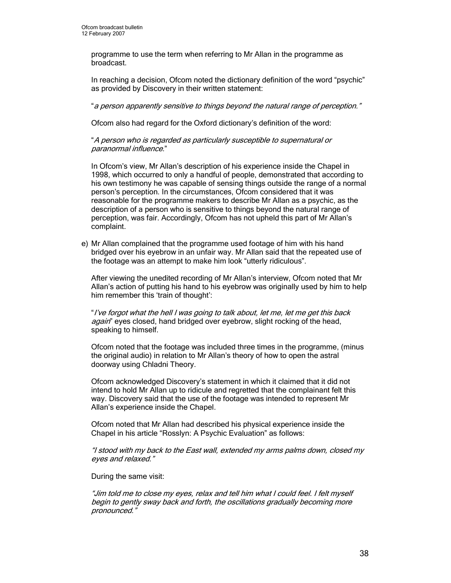programme to use the term when referring to Mr Allan in the programme as broadcast.

 In reaching a decision, Ofcom noted the dictionary definition of the word "psychic" as provided by Discovery in their written statement:

#### "a person apparently sensitive to things beyond the natural range of perception."

Ofcom also had regard for the Oxford dictionary's definition of the word:

 "A person who is regarded as particularly susceptible to supernatural or paranormal influence."

 In Ofcom's view, Mr Allan's description of his experience inside the Chapel in 1998, which occurred to only a handful of people, demonstrated that according to his own testimony he was capable of sensing things outside the range of a normal person's perception. In the circumstances, Ofcom considered that it was reasonable for the programme makers to describe Mr Allan as a psychic, as the description of a person who is sensitive to things beyond the natural range of perception, was fair. Accordingly, Ofcom has not upheld this part of Mr Allan's complaint.

e) Mr Allan complained that the programme used footage of him with his hand bridged over his eyebrow in an unfair way. Mr Allan said that the repeated use of the footage was an attempt to make him look "utterly ridiculous".

After viewing the unedited recording of Mr Allan's interview, Ofcom noted that Mr Allan's action of putting his hand to his eyebrow was originally used by him to help him remember this 'train of thought':

 "I've forgot what the hell I was going to talk about, let me, let me get this back again" eyes closed, hand bridged over eyebrow, slight rocking of the head, speaking to himself.

Ofcom noted that the footage was included three times in the programme, (minus the original audio) in relation to Mr Allan's theory of how to open the astral doorway using Chladni Theory.

Ofcom acknowledged Discovery's statement in which it claimed that it did not intend to hold Mr Allan up to ridicule and regretted that the complainant felt this way. Discovery said that the use of the footage was intended to represent Mr Allan's experience inside the Chapel.

Ofcom noted that Mr Allan had described his physical experience inside the Chapel in his article "Rosslyn: A Psychic Evaluation" as follows:

"I stood with my back to the East wall, extended my arms palms down, closed my eyes and relaxed."

During the same visit:

"Jim told me to close my eyes, relax and tell him what I could feel. I felt myself begin to gently sway back and forth, the oscillations gradually becoming more pronounced."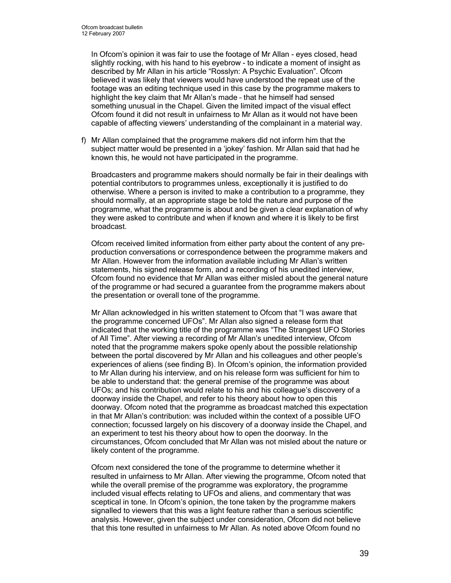In Ofcom's opinion it was fair to use the footage of Mr Allan - eyes closed, head slightly rocking, with his hand to his eyebrow - to indicate a moment of insight as described by Mr Allan in his article "Rosslyn: A Psychic Evaluation". Ofcom believed it was likely that viewers would have understood the repeat use of the footage was an editing technique used in this case by the programme makers to highlight the key claim that Mr Allan's made – that he himself had sensed something unusual in the Chapel. Given the limited impact of the visual effect Ofcom found it did not result in unfairness to Mr Allan as it would not have been capable of affecting viewers' understanding of the complainant in a material way.

f) Mr Allan complained that the programme makers did not inform him that the subject matter would be presented in a 'jokey' fashion. Mr Allan said that had he known this, he would not have participated in the programme.

Broadcasters and programme makers should normally be fair in their dealings with potential contributors to programmes unless, exceptionally it is justified to do otherwise. Where a person is invited to make a contribution to a programme, they should normally, at an appropriate stage be told the nature and purpose of the programme, what the programme is about and be given a clear explanation of why they were asked to contribute and when if known and where it is likely to be first broadcast.

 Ofcom received limited information from either party about the content of any preproduction conversations or correspondence between the programme makers and Mr Allan. However from the information available including Mr Allan's written statements, his signed release form, and a recording of his unedited interview, Ofcom found no evidence that Mr Allan was either misled about the general nature of the programme or had secured a guarantee from the programme makers about the presentation or overall tone of the programme.

 Mr Allan acknowledged in his written statement to Ofcom that "I was aware that the programme concerned UFOs". Mr Allan also signed a release form that indicated that the working title of the programme was "The Strangest UFO Stories of All Time". After viewing a recording of Mr Allan's unedited interview, Ofcom noted that the programme makers spoke openly about the possible relationship between the portal discovered by Mr Allan and his colleagues and other people's experiences of aliens (see finding B). In Ofcom's opinion, the information provided to Mr Allan during his interview, and on his release form was sufficient for him to be able to understand that: the general premise of the programme was about UFOs; and his contribution would relate to his and his colleague's discovery of a doorway inside the Chapel, and refer to his theory about how to open this doorway. Ofcom noted that the programme as broadcast matched this expectation in that Mr Allan's contribution: was included within the context of a possible UFO connection; focussed largely on his discovery of a doorway inside the Chapel, and an experiment to test his theory about how to open the doorway. In the circumstances, Ofcom concluded that Mr Allan was not misled about the nature or likely content of the programme.

Ofcom next considered the tone of the programme to determine whether it resulted in unfairness to Mr Allan. After viewing the programme, Ofcom noted that while the overall premise of the programme was exploratory, the programme included visual effects relating to UFOs and aliens, and commentary that was sceptical in tone. In Ofcom's opinion, the tone taken by the programme makers signalled to viewers that this was a light feature rather than a serious scientific analysis. However, given the subject under consideration, Ofcom did not believe that this tone resulted in unfairness to Mr Allan. As noted above Ofcom found no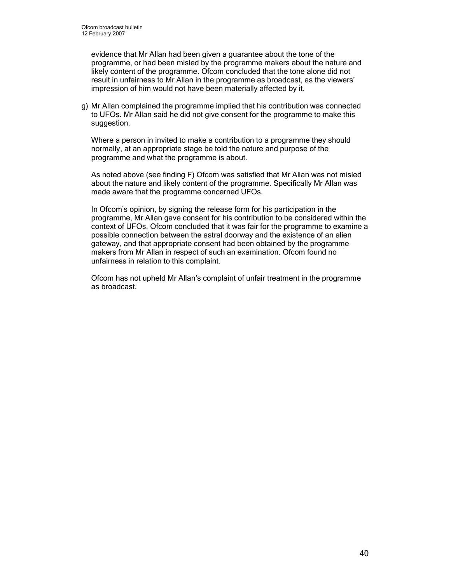evidence that Mr Allan had been given a guarantee about the tone of the programme, or had been misled by the programme makers about the nature and likely content of the programme. Of com concluded that the tone alone did not result in unfairness to Mr Allan in the programme as broadcast, as the viewers' impression of him would not have been materially affected by it.

g) Mr Allan complained the programme implied that his contribution was connected to UFOs. Mr Allan said he did not give consent for the programme to make this suggestion.

 Where a person in invited to make a contribution to a programme they should normally, at an appropriate stage be told the nature and purpose of the programme and what the programme is about.

 As noted above (see finding F) Ofcom was satisfied that Mr Allan was not misled about the nature and likely content of the programme. Specifically Mr Allan was made aware that the programme concerned UFOs.

In Ofcom's opinion, by signing the release form for his participation in the programme, Mr Allan gave consent for his contribution to be considered within the context of UFOs. Ofcom concluded that it was fair for the programme to examine a possible connection between the astral doorway and the existence of an alien gateway, and that appropriate consent had been obtained by the programme makers from Mr Allan in respect of such an examination. Ofcom found no unfairness in relation to this complaint.

Ofcom has not upheld Mr Allan's complaint of unfair treatment in the programme as broadcast.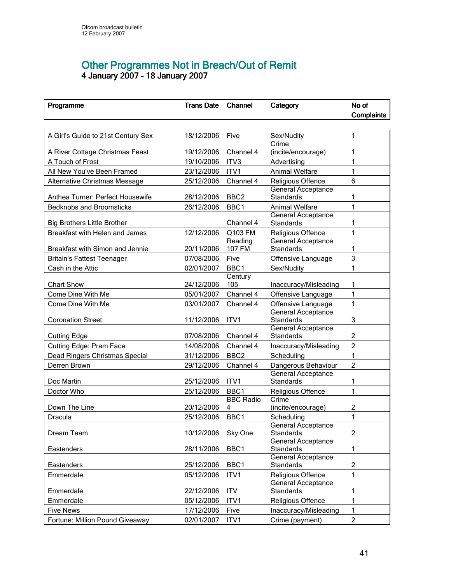# Other Programmes Not in Breach/Out of Remit 4 January 2007 - 18 January 2007

| Programme                          | <b>Trans Date</b> | <b>Channel</b>        | Category                                      | No of<br>Complaints     |
|------------------------------------|-------------------|-----------------------|-----------------------------------------------|-------------------------|
|                                    |                   |                       |                                               |                         |
| A Girl's Guide to 21st Century Sex | 18/12/2006        | Five                  | Sex/Nudity                                    | 1                       |
| A River Cottage Christmas Feast    | 19/12/2006        | Channel 4             | Crime<br>(incite/encourage)                   | 1                       |
| A Touch of Frost                   | 19/10/2006        | ITV3                  | Advertising                                   | 1                       |
| All New You've Been Framed         | 23/12/2006        | ITV1                  | <b>Animal Welfare</b>                         | 1                       |
| Alternative Christmas Message      | 25/12/2006        | Channel 4             | Religious Offence                             | 6                       |
| Anthea Turner: Perfect Housewife   | 28/12/2006        | BBC <sub>2</sub>      | <b>General Acceptance</b><br><b>Standards</b> | 1                       |
| <b>Bedknobs and Broomsticks</b>    | 26/12/2006        | BBC <sub>1</sub>      | <b>Animal Welfare</b>                         | 1                       |
| <b>Big Brothers Little Brother</b> |                   | Channel 4             | General Acceptance<br><b>Standards</b>        | 1                       |
| Breakfast with Helen and James     | 12/12/2006        | Q103 FM               | Religious Offence                             | 1                       |
| Breakfast with Simon and Jennie    | 20/11/2006        | Reading<br>107 FM     | General Acceptance<br><b>Standards</b>        | 1                       |
| <b>Britain's Fattest Teenager</b>  | 07/08/2006        | Five                  | Offensive Language                            | 3                       |
| Cash in the Attic                  | 02/01/2007        | BBC1                  | Sex/Nudity                                    | 1                       |
| <b>Chart Show</b>                  | 24/12/2006        | Century<br>105        | Inaccuracy/Misleading                         | 1                       |
| Come Dine With Me                  | 05/01/2007        | Channel 4             | Offensive Language                            | 1                       |
| Come Dine With Me                  | 03/01/2007        | Channel 4             | Offensive Language                            | 1                       |
| <b>Coronation Street</b>           | 11/12/2006        | ITV1                  | General Acceptance<br>Standards               | 3                       |
| <b>Cutting Edge</b>                | 07/08/2006        | Channel 4             | General Acceptance<br><b>Standards</b>        | $\overline{c}$          |
| Cutting Edge: Pram Face            | 14/08/2006        | Channel 4             | Inaccuracy/Misleading                         | 2                       |
| Dead Ringers Christmas Special     | 31/12/2006        | BBC <sub>2</sub>      | Scheduling                                    | 1                       |
| Derren Brown                       | 29/12/2006        | Channel 4             | Dangerous Behaviour                           | $\overline{2}$          |
| Doc Martin                         | 25/12/2006        | ITV1                  | <b>General Acceptance</b><br><b>Standards</b> | 1                       |
| Doctor Who                         | 25/12/2006        | BBC1                  | Religious Offence                             | 1                       |
| Down The Line                      | 20/12/2006        | <b>BBC Radio</b><br>4 | Crime<br>(incite/encourage)                   | 2                       |
| Dracula                            | 25/12/2006        | BBC1                  | Scheduling                                    | 1                       |
| Dream Team                         | 10/12/2006        | Sky One               | <b>General Acceptance</b><br><b>Standards</b> | $\overline{2}$          |
| Eastenders                         | 28/11/2006        | BBC1                  | <b>General Acceptance</b><br><b>Standards</b> | 1                       |
| Eastenders                         | 25/12/2006        | BBC1                  | <b>General Acceptance</b><br>Standards        | $\overline{\mathbf{c}}$ |
| Emmerdale                          | 05/12/2006        | ITV1                  | Religious Offence                             | 1                       |
| Emmerdale                          | 22/12/2006        | <b>ITV</b>            | <b>General Acceptance</b><br>Standards        | 1                       |
| Emmerdale                          | 05/12/2006        | ITV1                  | Religious Offence                             | 1                       |
| <b>Five News</b>                   | 17/12/2006        | Five                  | Inaccuracy/Misleading                         | 1                       |
| Fortune: Million Pound Giveaway    | 02/01/2007        | ITV1                  | Crime (payment)                               | $\overline{c}$          |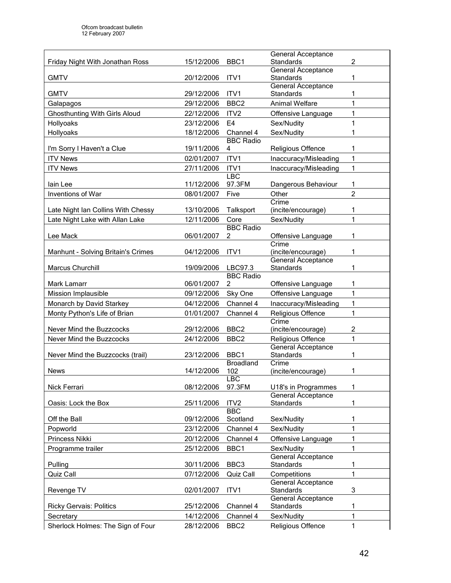|                                      |            |                                | <b>General Acceptance</b>              |                |
|--------------------------------------|------------|--------------------------------|----------------------------------------|----------------|
| Friday Night With Jonathan Ross      | 15/12/2006 | BBC1                           | <b>Standards</b><br>General Acceptance | $\overline{c}$ |
| <b>GMTV</b>                          | 20/12/2006 | ITV1                           | Standards                              | 1              |
|                                      |            |                                | General Acceptance                     |                |
| <b>GMTV</b>                          | 29/12/2006 | ITV1                           | Standards                              | 1              |
| Galapagos                            | 29/12/2006 | BBC <sub>2</sub>               | Animal Welfare                         | 1              |
| <b>Ghosthunting With Girls Aloud</b> | 22/12/2006 | ITV <sub>2</sub>               | Offensive Language                     | 1              |
| Hollyoaks                            | 23/12/2006 | E <sub>4</sub>                 | Sex/Nudity                             | 1              |
| Hollyoaks                            | 18/12/2006 | Channel 4                      | Sex/Nudity                             | 1              |
| I'm Sorry I Haven't a Clue           | 19/11/2006 | <b>BBC Radio</b><br>4          | Religious Offence                      | 1              |
| <b>ITV News</b>                      | 02/01/2007 | ITV1                           | Inaccuracy/Misleading                  | 1              |
| <b>ITV News</b>                      | 27/11/2006 | ITV1                           | Inaccuracy/Misleading                  | 1              |
|                                      |            | LBC                            |                                        |                |
| lain Lee                             | 11/12/2006 | 97.3FM                         | Dangerous Behaviour                    | 1              |
| Inventions of War                    | 08/01/2007 | Five                           | Other                                  | $\overline{2}$ |
|                                      |            |                                | Crime                                  | 1              |
| Late Night Ian Collins With Chessy   | 13/10/2006 | Talksport                      | (incite/encourage)                     |                |
| Late Night Lake with Allan Lake      | 12/11/2006 | Core<br><b>BBC Radio</b>       | Sex/Nudity                             | 1              |
| Lee Mack                             | 06/01/2007 | $\overline{2}$                 | Offensive Language                     | 1              |
|                                      |            |                                | Crime                                  |                |
| Manhunt - Solving Britain's Crimes   | 04/12/2006 | ITV1                           | (incite/encourage)                     | 1              |
|                                      |            |                                | <b>General Acceptance</b>              |                |
| Marcus Churchill                     | 19/09/2006 | LBC97.3<br><b>BBC Radio</b>    | Standards                              | 1              |
| Mark Lamarr                          | 06/01/2007 | 2                              | Offensive Language                     | 1              |
| <b>Mission Implausible</b>           | 09/12/2006 | Sky One                        | Offensive Language                     | $\mathbf{1}$   |
| Monarch by David Starkey             | 04/12/2006 | Channel 4                      | Inaccuracy/Misleading                  | 1              |
| Monty Python's Life of Brian         | 01/01/2007 | Channel 4                      | Religious Offence                      | 1              |
|                                      |            |                                | Crime                                  |                |
| Never Mind the Buzzcocks             | 29/12/2006 | BBC <sub>2</sub>               | (incite/encourage)                     | $\overline{c}$ |
| Never Mind the Buzzcocks             | 24/12/2006 | BBC <sub>2</sub>               | Religious Offence                      | 1              |
|                                      |            |                                | General Acceptance                     |                |
| Never Mind the Buzzcocks (trail)     | 23/12/2006 | BBC1<br><b>Broadland</b>       | Standards<br>Crime                     | 1              |
| <b>News</b>                          | 14/12/2006 | 102                            | (incite/encourage)                     | 1              |
|                                      |            | LBC                            |                                        |                |
| Nick Ferrari                         | 08/12/2006 | 97.3FM                         | U18's in Programmes                    | 1              |
|                                      |            |                                | General Acceptance                     |                |
| Oasis: Lock the Box                  | 25/11/2006 | ITV <sub>2</sub><br><b>BBC</b> | <b>Standards</b>                       | 1              |
| Off the Ball                         | 09/12/2006 | Scotland                       | Sex/Nudity                             | 1              |
| Popworld                             | 23/12/2006 | Channel 4                      | Sex/Nudity                             | 1              |
| Princess Nikki                       | 20/12/2006 | Channel 4                      | Offensive Language                     | 1              |
| Programme trailer                    | 25/12/2006 | BBC1                           | Sex/Nudity                             | 1              |
|                                      |            |                                | <b>General Acceptance</b>              |                |
| Pulling                              | 30/11/2006 | BBC3                           | <b>Standards</b>                       | 1              |
| Quiz Call                            | 07/12/2006 | Quiz Call                      | Competitions                           | 1              |
| Revenge TV                           | 02/01/2007 | ITV1                           | General Acceptance<br>Standards        | 3              |
|                                      |            |                                | <b>General Acceptance</b>              |                |
| <b>Ricky Gervais: Politics</b>       | 25/12/2006 | Channel 4                      | Standards                              | 1              |
| Secretary                            | 14/12/2006 | Channel 4                      | Sex/Nudity                             | 1              |
| Sherlock Holmes: The Sign of Four    | 28/12/2006 | BBC <sub>2</sub>               | Religious Offence                      | $\mathbf{1}$   |